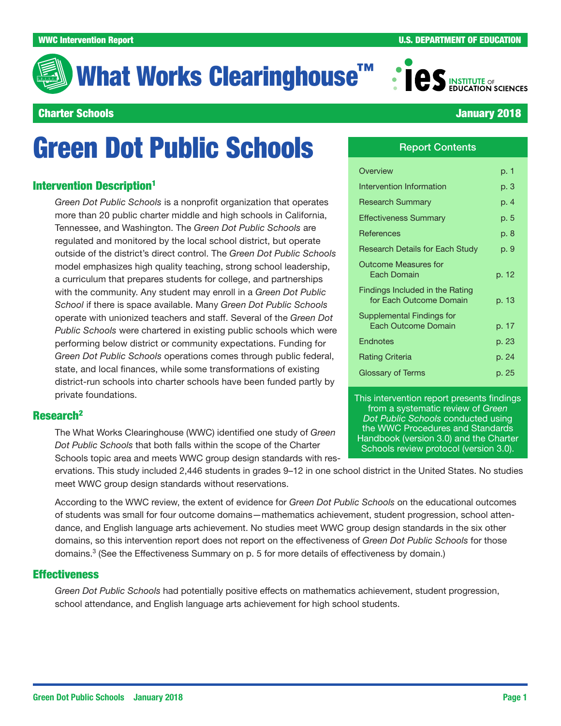# What Works Clearinghouse<sup>™</sup>



#### Charter Schools January 2018

# Green Dot Public Schools

#### **Intervention Description<sup>1</sup>**

*Green Dot Public Schools* is a nonprofit organization that operates more than 20 public charter middle and high schools in California, Tennessee, and Washington. The *Green Dot Public Schools* are regulated and monitored by the local school district, but operate outside of the district's direct control. The *Green Dot Public Schools* model emphasizes high quality teaching, strong school leadership, a curriculum that prepares students for college, and partnerships with the community. Any student may enroll in a *Green Dot Public School* if there is space available. Many *Green Dot Public Schools* operate with unionized teachers and staff. Several of the *Green Dot Public Schools* were chartered in existing public schools which were performing below district or community expectations. Funding for *Green Dot Public Schools* operations comes through public federal, state, and local finances, while some transformations of existing district-run schools into charter schools have been funded partly by private foundations.

#### Research2

The What Works Clearinghouse (WWC) identified one study of *Green Dot Public Schools* that both falls within the scope of the Charter Schools topic area and meets WWC group design standards with res-

ervations. This study included 2,446 students in grades 9–12 in one school district in the United States. No studies meet WWC group design standards without reservations.

According to the WWC review, the extent of evidence for *Green Dot Public Schools* on the educational outcomes of students was small for four outcome domains—mathematics achievement, student progression, school attendance, and English language arts achievement. No studies meet WWC group design standards in the six other domains, so this intervention report does not report on the effectiveness of *Green Dot Public Schools* for those domains.3 (See the Effectiveness Summary on p. 5 for more details of effectiveness by domain.)

#### **Effectiveness**

*Green Dot Public Schools* had potentially positive effects on mathematics achievement, student progression, school attendance, and English language arts achievement for high school students.

#### Report Contents

| Overview                                                   | p. 1  |
|------------------------------------------------------------|-------|
| Intervention Information                                   | p. 3  |
| <b>Research Summary</b>                                    | p. 4  |
| Effectiveness Summary                                      | p. 5  |
| References                                                 | p. 8  |
| Research Details for Each Study                            | p. 9  |
| <b>Outcome Measures for</b><br>Each Domain                 | p. 12 |
| Findings Included in the Rating<br>for Fach Outcome Domain | p. 13 |
| Supplemental Findings for<br>Each Outcome Domain           | p. 17 |
| Endnotes                                                   | p. 23 |
| <b>Rating Criteria</b>                                     | p. 24 |
| Glossary of Terms                                          | p. 25 |

This intervention report presents findings from a systematic review of *Green Dot Public Schools* conducted using the [WWC Procedures and Standards](https://ies.ed.gov/ncee/wwc/Handbooks)  [Handbook \(version 3.0\)](https://ies.ed.gov/ncee/wwc/Handbooks) and the [Charter](https://ies.ed.gov/ncee/wwc/Document/282)  [Schools review protocol \(version 3.0\).](https://ies.ed.gov/ncee/wwc/Document/282)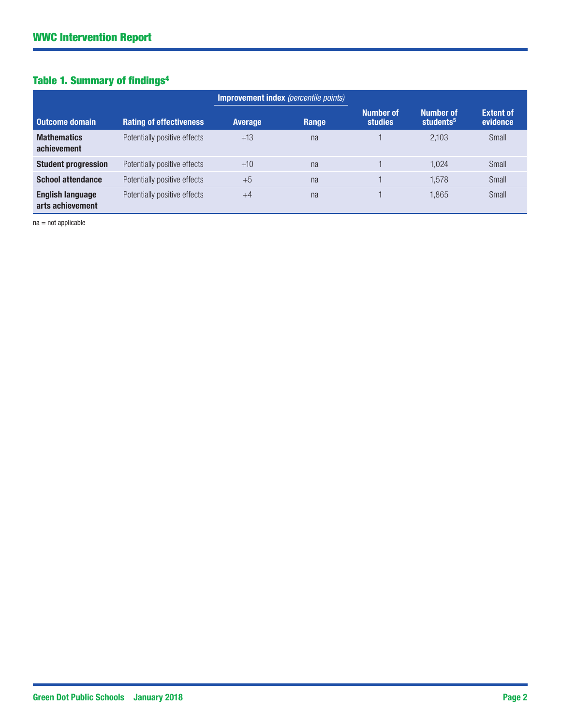## Table 1. Summary of findings4

|                                             |                                |                | <b>Improvement index</b> (percentile points) |                             |                                           |                              |
|---------------------------------------------|--------------------------------|----------------|----------------------------------------------|-----------------------------|-------------------------------------------|------------------------------|
| Outcome domain                              | <b>Rating of effectiveness</b> | <b>Average</b> | Range                                        | <b>Number of</b><br>studies | <b>Number of</b><br>students <sup>5</sup> | <b>Extent of</b><br>evidence |
| <b>Mathematics</b><br>achievement           | Potentially positive effects   | $+13$          | na                                           |                             | 2.103                                     | Small                        |
| <b>Student progression</b>                  | Potentially positive effects   | $+10$          | na                                           |                             | 1.024                                     | Small                        |
| <b>School attendance</b>                    | Potentially positive effects   | $+5$           | na                                           |                             | 1.578                                     | Small                        |
| <b>English language</b><br>arts achievement | Potentially positive effects   | $+4$           | na                                           |                             | 1.865                                     | Small                        |

na = not applicable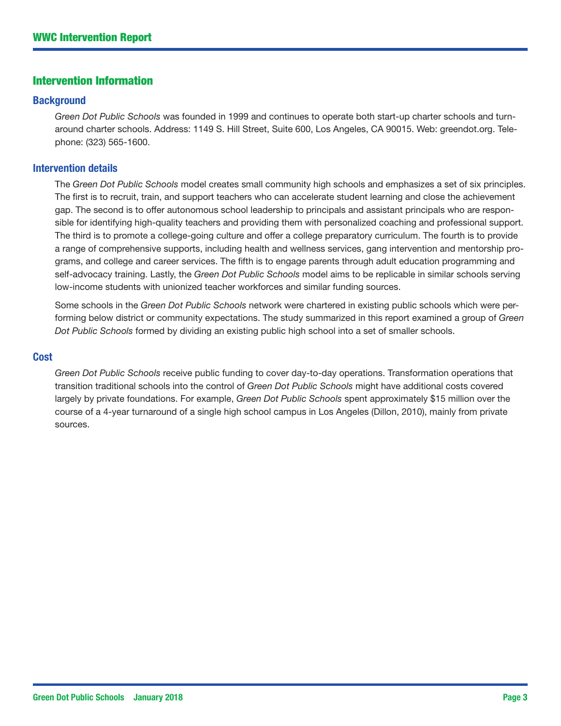#### Intervention Information

#### **Background**

*Green Dot Public Schools* was founded in 1999 and continues to operate both start-up charter schools and turnaround charter schools. Address: 1149 S. Hill Street, Suite 600, Los Angeles, CA 90015. Web: [greendot.org.](greendot.org) Telephone: (323) 565-1600.

#### Intervention details

The *Green Dot Public Schools* model creates small community high schools and emphasizes a set of six principles. The first is to recruit, train, and support teachers who can accelerate student learning and close the achievement gap. The second is to offer autonomous school leadership to principals and assistant principals who are responsible for identifying high-quality teachers and providing them with personalized coaching and professional support. The third is to promote a college-going culture and offer a college preparatory curriculum. The fourth is to provide a range of comprehensive supports, including health and wellness services, gang intervention and mentorship programs, and college and career services. The fifth is to engage parents through adult education programming and self-advocacy training. Lastly, the *Green Dot Public Schools* model aims to be replicable in similar schools serving low-income students with unionized teacher workforces and similar funding sources.

Some schools in the *Green Dot Public Schools* network were chartered in existing public schools which were performing below district or community expectations. The study summarized in this report examined a group of *Green Dot Public Schools* formed by dividing an existing public high school into a set of smaller schools.

#### **Cost**

*Green Dot Public Schools* receive public funding to cover day-to-day operations. Transformation operations that transition traditional schools into the control of *Green Dot Public Schools* might have additional costs covered largely by private foundations. For example, *Green Dot Public Schools* spent approximately \$15 million over the course of a 4-year turnaround of a single high school campus in Los Angeles (Dillon, 2010), mainly from private sources.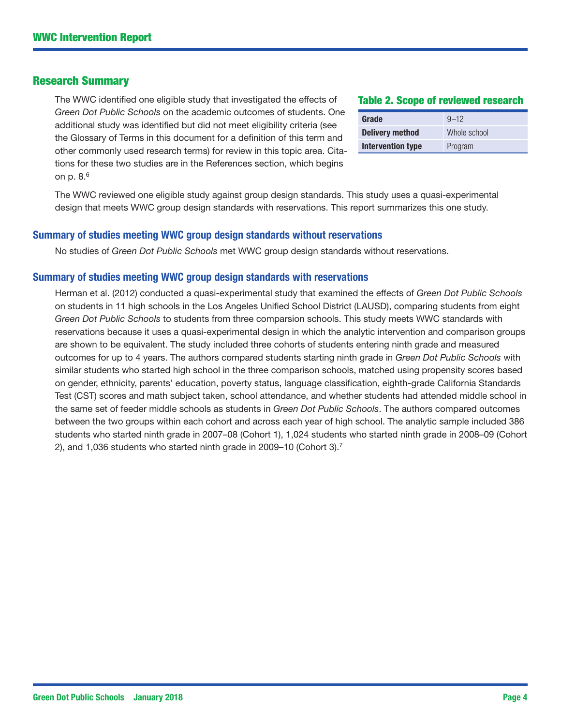#### Research Summary

The WWC identified one eligible study that investigated the effects of *Green Dot Public Schools* on the academic outcomes of students. One additional study was identified but did not meet eligibility criteria (see the Glossary of Terms in this document for a definition of this term and other commonly used research terms) for review in this topic area. Citations for these two studies are in the References section, which begins on p. 8.6

#### Table 2. Scope of reviewed research

| Grade                    | $9 - 12$     |
|--------------------------|--------------|
| <b>Delivery method</b>   | Whole school |
| <b>Intervention type</b> | Program      |

The WWC reviewed one eligible study against group design standards. This study uses a quasi-experimental design that meets WWC group design standards with reservations. This report summarizes this one study.

#### Summary of studies meeting WWC group design standards without reservations

No studies of *Green Dot Public Schools* met WWC group design standards without reservations.

#### Summary of studies meeting WWC group design standards with reservations

Herman et al. (2012) conducted a quasi-experimental study that examined the effects of *Green Dot Public Schools* on students in 11 high schools in the Los Angeles Unified School District (LAUSD), comparing students from eight *Green Dot Public Schools* to students from three comparsion schools. This study meets WWC standards with reservations because it uses a quasi-experimental design in which the analytic intervention and comparison groups are shown to be equivalent. The study included three cohorts of students entering ninth grade and measured outcomes for up to 4 years. The authors compared students starting ninth grade in *Green Dot Public Schools* with similar students who started high school in the three comparison schools, matched using propensity scores based on gender, ethnicity, parents' education, poverty status, language classification, eighth-grade California Standards Test (CST) scores and math subject taken, school attendance, and whether students had attended middle school in the same set of feeder middle schools as students in *Green Dot Public Schools*. The authors compared outcomes between the two groups within each cohort and across each year of high school. The analytic sample included 386 students who started ninth grade in 2007–08 (Cohort 1), 1,024 students who started ninth grade in 2008–09 (Cohort 2), and 1,036 students who started ninth grade in 2009–10 (Cohort 3).7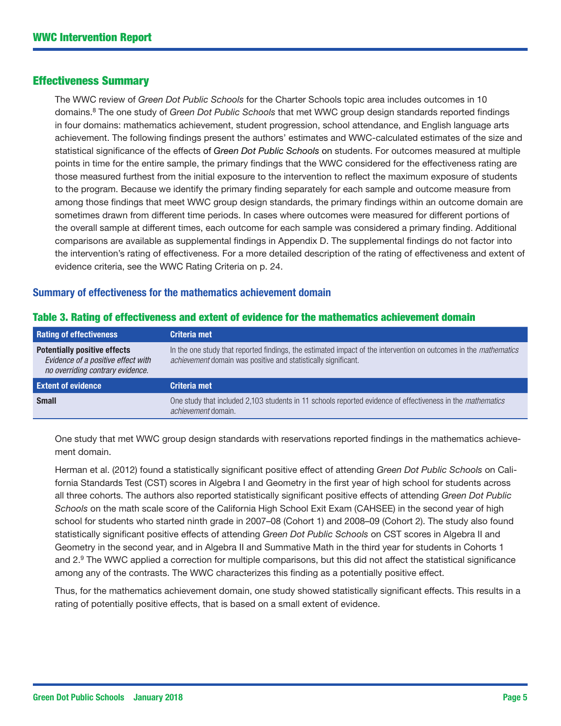#### Effectiveness Summary

The WWC review of *Green Dot Public Schools* for the Charter Schools topic area includes outcomes in 10 domains.8 The one study of *Green Dot Public Schools* that met WWC group design standards reported findings in four domains: mathematics achievement, student progression, school attendance, and English language arts achievement. The following findings present the authors' estimates and WWC-calculated estimates of the size and statistical significance of the effects of *Green Dot Public Schools* on students. For outcomes measured at multiple points in time for the entire sample, the primary findings that the WWC considered for the effectiveness rating are those measured furthest from the initial exposure to the intervention to reflect the maximum exposure of students to the program. Because we identify the primary finding separately for each sample and outcome measure from among those findings that meet WWC group design standards, the primary findings within an outcome domain are sometimes drawn from different time periods. In cases where outcomes were measured for different portions of the overall sample at different times, each outcome for each sample was considered a primary finding. Additional comparisons are available as supplemental findings in Appendix D. The supplemental findings do not factor into the intervention's rating of effectiveness. For a more detailed description of the rating of effectiveness and extent of evidence criteria, see the WWC Rating Criteria on p. 24.

#### Summary of effectiveness for the mathematics achievement domain

| <b>Rating of effectiveness</b>                                                                                | Criteria met                                                                                                                                                                       |
|---------------------------------------------------------------------------------------------------------------|------------------------------------------------------------------------------------------------------------------------------------------------------------------------------------|
| <b>Potentially positive effects</b><br>Evidence of a positive effect with<br>no overriding contrary evidence. | In the one study that reported findings, the estimated impact of the intervention on outcomes in the mathematics<br>achievement domain was positive and statistically significant. |
| <b>Extent of evidence</b>                                                                                     | Criteria met                                                                                                                                                                       |
| <b>Small</b>                                                                                                  | One study that included 2,103 students in 11 schools reported evidence of effectiveness in the mathematics<br>achievement domain.                                                  |

#### Table 3. Rating of effectiveness and extent of evidence for the mathematics achievement domain

One study that met WWC group design standards with reservations reported findings in the mathematics achievement domain.

Herman et al. (2012) found a statistically significant positive effect of attending *Green Dot Public Schools* on California Standards Test (CST) scores in Algebra I and Geometry in the first year of high school for students across all three cohorts. The authors also reported statistically significant positive effects of attending *Green Dot Public Schools* on the math scale score of the California High School Exit Exam (CAHSEE) in the second year of high school for students who started ninth grade in 2007–08 (Cohort 1) and 2008–09 (Cohort 2). The study also found statistically significant positive effects of attending *Green Dot Public Schools* on CST scores in Algebra II and Geometry in the second year, and in Algebra II and Summative Math in the third year for students in Cohorts 1 and  $2.9$  The WWC applied a correction for multiple comparisons, but this did not affect the statistical significance among any of the contrasts. The WWC characterizes this finding as a potentially positive effect.

Thus, for the mathematics achievement domain, one study showed statistically significant effects. This results in a rating of potentially positive effects, that is based on a small extent of evidence.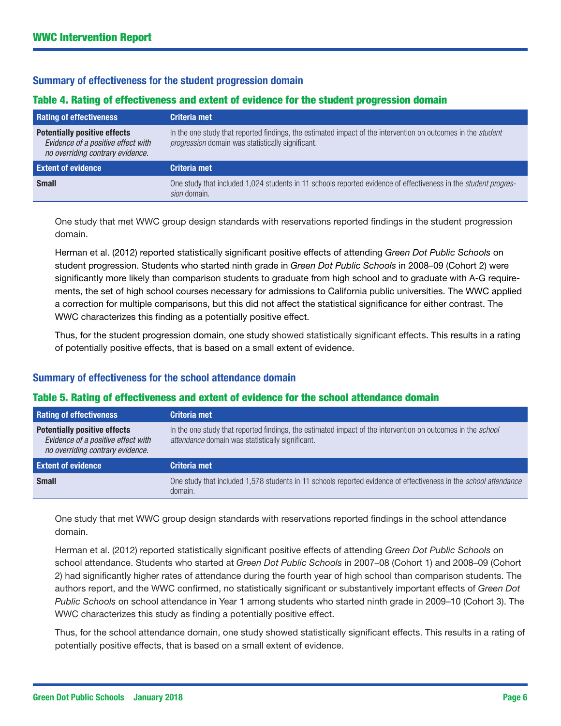#### Summary of effectiveness for the student progression domain

#### Table 4. Rating of effectiveness and extent of evidence for the student progression domain

| <b>Rating of effectiveness</b>                                                                                | Criteria met                                                                                                                                                             |
|---------------------------------------------------------------------------------------------------------------|--------------------------------------------------------------------------------------------------------------------------------------------------------------------------|
| <b>Potentially positive effects</b><br>Evidence of a positive effect with<br>no overriding contrary evidence. | In the one study that reported findings, the estimated impact of the intervention on outcomes in the <i>student</i><br>progression domain was statistically significant. |
| <b>Extent of evidence</b>                                                                                     | Criteria met                                                                                                                                                             |
| <b>Small</b>                                                                                                  | One study that included 1,024 students in 11 schools reported evidence of effectiveness in the <i>student progres</i> -<br>sion domain.                                  |

One study that met WWC group design standards with reservations reported findings in the student progression domain.

Herman et al. (2012) reported statistically significant positive effects of attending *Green Dot Public Schools* on student progression. Students who started ninth grade in *Green Dot Public Schools* in 2008–09 (Cohort 2) were significantly more likely than comparison students to graduate from high school and to graduate with A-G requirements, the set of high school courses necessary for admissions to California public universities. The WWC applied a correction for multiple comparisons, but this did not affect the statistical significance for either contrast. The WWC characterizes this finding as a potentially positive effect.

Thus, for the student progression domain, one study showed statistically significant effects. This results in a rating of potentially positive effects, that is based on a small extent of evidence.

#### Summary of effectiveness for the school attendance domain

#### Table 5. Rating of effectiveness and extent of evidence for the school attendance domain

| <b>Rating of effectiveness</b>                                                                                | Criteria met                                                                                                                                                    |
|---------------------------------------------------------------------------------------------------------------|-----------------------------------------------------------------------------------------------------------------------------------------------------------------|
| <b>Potentially positive effects</b><br>Evidence of a positive effect with<br>no overriding contrary evidence. | In the one study that reported findings, the estimated impact of the intervention on outcomes in the school<br>attendance domain was statistically significant. |
| <b>Extent of evidence</b>                                                                                     | Criteria met                                                                                                                                                    |
| <b>Small</b>                                                                                                  | One study that included 1,578 students in 11 schools reported evidence of effectiveness in the <i>school attendance</i><br>domain.                              |

One study that met WWC group design standards with reservations reported findings in the school attendance domain.

Herman et al. (2012) reported statistically significant positive effects of attending *Green Dot Public Schools* on school attendance. Students who started at *Green Dot Public Schools* in 2007–08 (Cohort 1) and 2008–09 (Cohort 2) had significantly higher rates of attendance during the fourth year of high school than comparison students. The authors report, and the WWC confirmed, no statistically significant or substantively important effects of *Green Dot Public Schools* on school attendance in Year 1 among students who started ninth grade in 2009–10 (Cohort 3). The WWC characterizes this study as finding a potentially positive effect.

Thus, for the school attendance domain, one study showed statistically significant effects. This results in a rating of potentially positive effects, that is based on a small extent of evidence.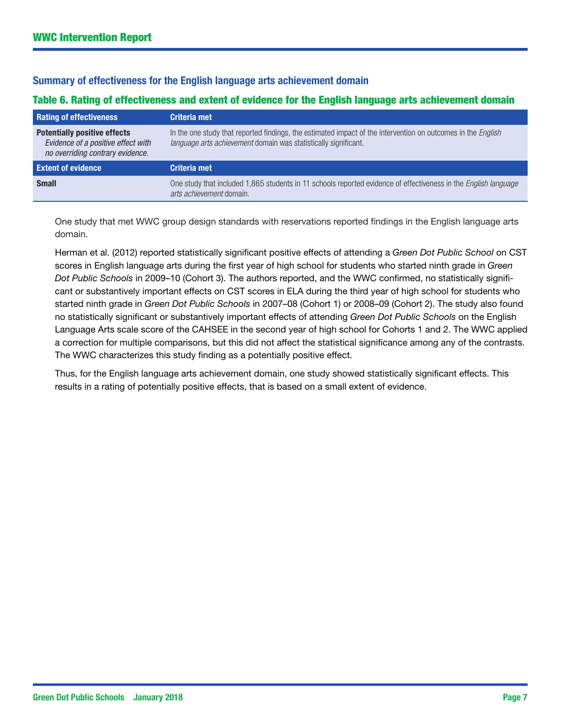#### Summary of effectiveness for the English language arts achievement domain

#### Table 6. Rating of effectiveness and extent of evidence for the English language arts achievement domain

| <b>Rating of effectiveness</b>                                                                                | Criteria met                                                                                                                                                                    |
|---------------------------------------------------------------------------------------------------------------|---------------------------------------------------------------------------------------------------------------------------------------------------------------------------------|
| <b>Potentially positive effects</b><br>Evidence of a positive effect with<br>no overriding contrary evidence. | In the one study that reported findings, the estimated impact of the intervention on outcomes in the English<br>language arts achievement domain was statistically significant. |
| <b>Extent of evidence</b>                                                                                     | Criteria met                                                                                                                                                                    |
| <b>Small</b>                                                                                                  | One study that included 1,865 students in 11 schools reported evidence of effectiveness in the <i>English language</i><br>arts achievement domain.                              |

One study that met WWC group design standards with reservations reported findings in the English language arts domain.

Herman et al. (2012) reported statistically significant positive effects of attending a *Green Dot Public School* on CST scores in English language arts during the first year of high school for students who started ninth grade in *Green Dot Public Schools* in 2009–10 (Cohort 3). The authors reported, and the WWC confirmed, no statistically significant or substantively important effects on CST scores in ELA during the third year of high school for students who started ninth grade in *Green Dot Public Schools* in 2007–08 (Cohort 1) or 2008–09 (Cohort 2). The study also found no statistically significant or substantively important effects of attending *Green Dot Public Schools* on the English Language Arts scale score of the CAHSEE in the second year of high school for Cohorts 1 and 2. The WWC applied a correction for multiple comparisons, but this did not affect the statistical significance among any of the contrasts. The WWC characterizes this study finding as a potentially positive effect.

Thus, for the English language arts achievement domain, one study showed statistically significant effects. This results in a rating of potentially positive effects, that is based on a small extent of evidence.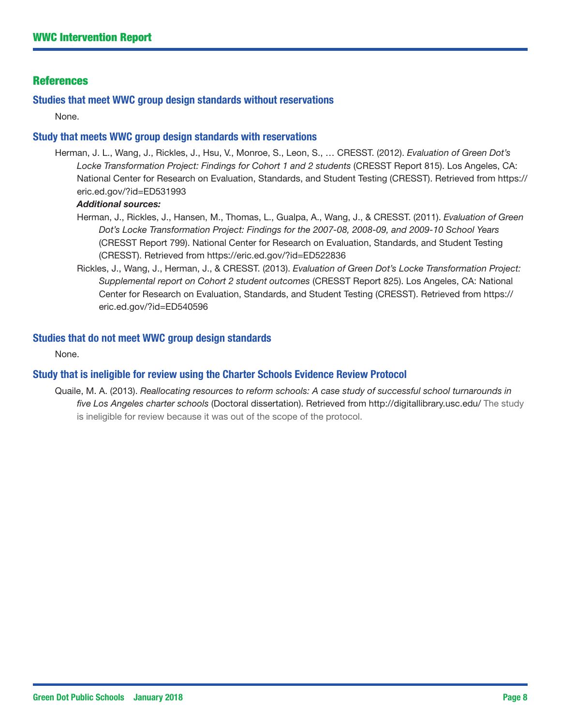#### References

#### Studies that meet WWC group design standards without reservations

None.

#### Study that meets WWC group design standards with reservations

Herman, J. L., Wang, J., Rickles, J., Hsu, V., Monroe, S., Leon, S., … CRESST. (2012). *Evaluation of Green Dot's Locke Transformation Project: Findings for Cohort 1 and 2 students* (CRESST Report 815). Los Angeles, CA: National Center for Research on Evaluation, Standards, and Student Testing (CRESST). Retrieved from [https://](https://eric.ed.gov/?id=ED531993) [eric.ed.gov/?id=ED531993](https://eric.ed.gov/?id=ED531993)

#### *Additional sources:*

- Herman, J., Rickles, J., Hansen, M., Thomas, L., Gualpa, A., Wang, J., & CRESST. (2011). *Evaluation of Green Dot's Locke Transformation Project: Findings for the 2007-08, 2008-09, and 2009-10 School Years* (CRESST Report 799). National Center for Research on Evaluation, Standards, and Student Testing (CRESST). Retrieved from<https://eric.ed.gov/?id=ED522836>
- Rickles, J., Wang, J., Herman, J., & CRESST. (2013). *Evaluation of Green Dot's Locke Transformation Project: Supplemental report on Cohort 2 student outcomes* (CRESST Report 825). Los Angeles, CA: National Center for Research on Evaluation, Standards, and Student Testing (CRESST). Retrieved from [https://](https://eric.ed.gov/?id=ED540596) [eric.ed.gov/?id=ED540596](https://eric.ed.gov/?id=ED540596)

#### Studies that do not meet WWC group design standards

None.

#### Study that is ineligible for review using the Charter Schools Evidence Review Protocol

Quaile, M. A. (2013). *Reallocating resources to reform schools: A case study of successful school turnarounds in five Los Angeles charter schools* (Doctoral dissertation). Retrieved from <http://digitallibrary.usc.edu/> The study is ineligible for review because it was out of the scope of the protocol.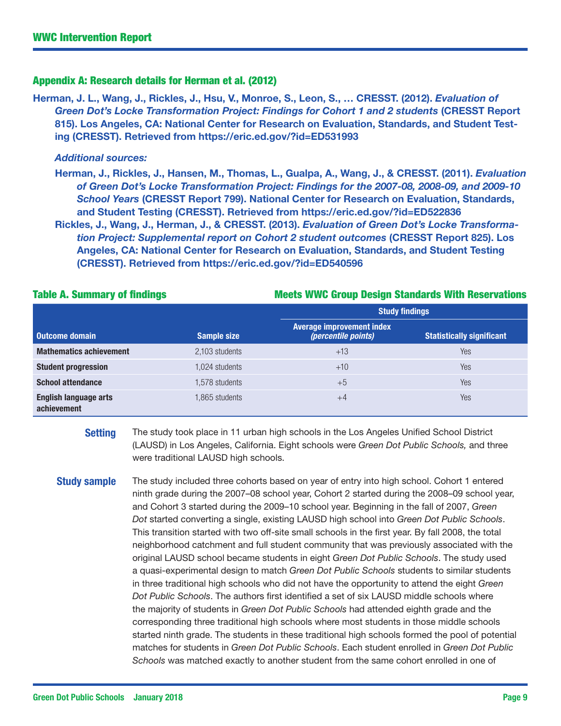#### Appendix A: Research details for Herman et al. (2012)

Herman, J. L., Wang, J., Rickles, J., Hsu, V., Monroe, S., Leon, S., … CRESST. (2012). *Evaluation of*  Green Dot's Locke Transformation Project: Findings for Cohort 1 and 2 students (CRESST Report 815). Los Angeles, CA: National Center for Research on Evaluation, Standards, and Student Testing (CRESST). Retrieved from <https://eric.ed.gov/?id=ED531993>

#### *Additional sources:*

Herman, J., Rickles, J., Hansen, M., Thomas, L., Gualpa, A., Wang, J., & CRESST. (2011). *Evaluation of Green Dot's Locke Transformation Project: Findings for the 2007-08, 2008-09, and 2009-10 School Years* (CRESST Report 799). National Center for Research on Evaluation, Standards, and Student Testing (CRESST). Retrieved from<https://eric.ed.gov/?id=ED522836>

Rickles, J., Wang, J., Herman, J., & CRESST. (2013). *Evaluation of Green Dot's Locke Transformation Project: Supplemental report on Cohort 2 student outcomes* (CRESST Report 825). Los Angeles, CA: National Center for Research on Evaluation, Standards, and Student Testing (CRESST). Retrieved from <https://eric.ed.gov/?id=ED540596>

|                                             |                    | <b>Study findings</b>                                          |                                  |  |  |  |
|---------------------------------------------|--------------------|----------------------------------------------------------------|----------------------------------|--|--|--|
| Outcome domain                              | <b>Sample size</b> | <b>Average improvement index</b><br><i>(percentile points)</i> | <b>Statistically significant</b> |  |  |  |
| <b>Mathematics achievement</b>              | 2,103 students     | $+13$                                                          | Yes                              |  |  |  |
| <b>Student progression</b>                  | 1.024 students     | $+10$                                                          | <b>Yes</b>                       |  |  |  |
| <b>School attendance</b>                    | 1,578 students     | $+5$                                                           | Yes                              |  |  |  |
| <b>English language arts</b><br>achievement | 1,865 students     | $+4$                                                           | Yes                              |  |  |  |

**Setting** The study took place in 11 urban high schools in the Los Angeles Unified School District

were traditional LAUSD high schools.

(LAUSD) in Los Angeles, California. Eight schools were *Green Dot Public Schools,* and three

#### Table A. Summary of findings Table 1. The Meets WWC Group Design Standards With Reservations

**Study sample** The study included three cohorts based on year of entry into high school. Cohort 1 entered ninth grade during the 2007–08 school year, Cohort 2 started during the 2008–09 school year, and Cohort 3 started during the 2009–10 school year. Beginning in the fall of 2007, *Green Dot* started converting a single, existing LAUSD high school into *Green Dot Public Schools*. This transition started with two off-site small schools in the first year. By fall 2008, the total neighborhood catchment and full student community that was previously associated with the original LAUSD school became students in eight *Green Dot Public Schools*. The study used a quasi-experimental design to match *Green Dot Public Schools* students to similar students in three traditional high schools who did not have the opportunity to attend the eight *Green Dot Public Schools*. The authors first identified a set of six LAUSD middle schools where the majority of students in *Green Dot Public Schools* had attended eighth grade and the corresponding three traditional high schools where most students in those middle schools started ninth grade. The students in these traditional high schools formed the pool of potential matches for students in *Green Dot Public Schools*. Each student enrolled in *Green Dot Public Schools* was matched exactly to another student from the same cohort enrolled in one of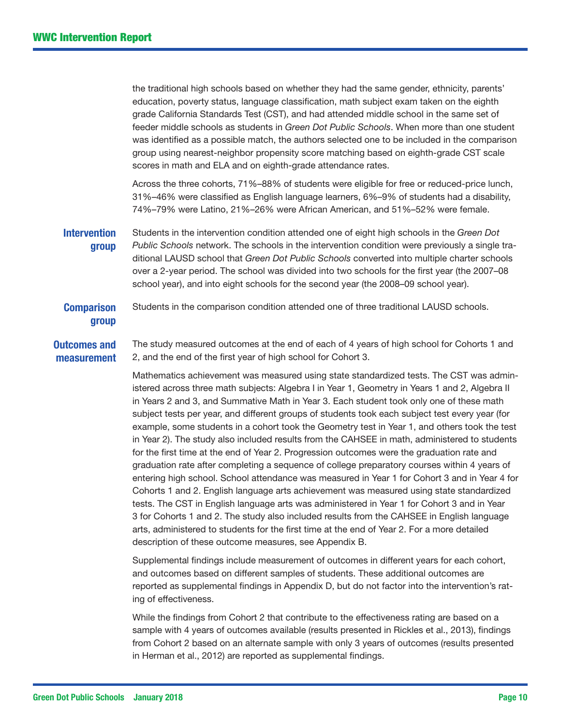the traditional high schools based on whether they had the same gender, ethnicity, parents' education, poverty status, language classification, math subject exam taken on the eighth grade California Standards Test (CST), and had attended middle school in the same set of feeder middle schools as students in *Green Dot Public Schools*. When more than one student was identified as a possible match, the authors selected one to be included in the comparison group using nearest-neighbor propensity score matching based on eighth-grade CST scale scores in math and ELA and on eighth-grade attendance rates.

Across the three cohorts, 71%–88% of students were eligible for free or reduced-price lunch, 31%–46% were classified as English language learners, 6%–9% of students had a disability, 74%–79% were Latino, 21%–26% were African American, and 51%–52% were female.

**Intervention** group Students in the intervention condition attended one of eight high schools in the *Green Dot Public Schools* network. The schools in the intervention condition were previously a single traditional LAUSD school that *Green Dot Public Schools* converted into multiple charter schools over a 2-year period. The school was divided into two schools for the first year (the 2007–08 school year), and into eight schools for the second year (the 2008–09 school year).

#### **Comparison** group Students in the comparison condition attended one of three traditional LAUSD schools.

#### Outcomes and measurement The study measured outcomes at the end of each of 4 years of high school for Cohorts 1 and 2, and the end of the first year of high school for Cohort 3.

Mathematics achievement was measured using state standardized tests. The CST was administered across three math subjects: Algebra I in Year 1, Geometry in Years 1 and 2, Algebra II in Years 2 and 3, and Summative Math in Year 3. Each student took only one of these math subject tests per year, and different groups of students took each subject test every year (for example, some students in a cohort took the Geometry test in Year 1, and others took the test in Year 2). The study also included results from the CAHSEE in math, administered to students for the first time at the end of Year 2. Progression outcomes were the graduation rate and graduation rate after completing a sequence of college preparatory courses within 4 years of entering high school. School attendance was measured in Year 1 for Cohort 3 and in Year 4 for Cohorts 1 and 2. English language arts achievement was measured using state standardized tests. The CST in English language arts was administered in Year 1 for Cohort 3 and in Year 3 for Cohorts 1 and 2. The study also included results from the CAHSEE in English language arts, administered to students for the first time at the end of Year 2. For a more detailed description of these outcome measures, see Appendix B.

Supplemental findings include measurement of outcomes in different years for each cohort, and outcomes based on different samples of students. These additional outcomes are reported as supplemental findings in Appendix D, but do not factor into the intervention's rating of effectiveness.

While the findings from Cohort 2 that contribute to the effectiveness rating are based on a sample with 4 years of outcomes available (results presented in Rickles et al., 2013), findings from Cohort 2 based on an alternate sample with only 3 years of outcomes (results presented in Herman et al., 2012) are reported as supplemental findings.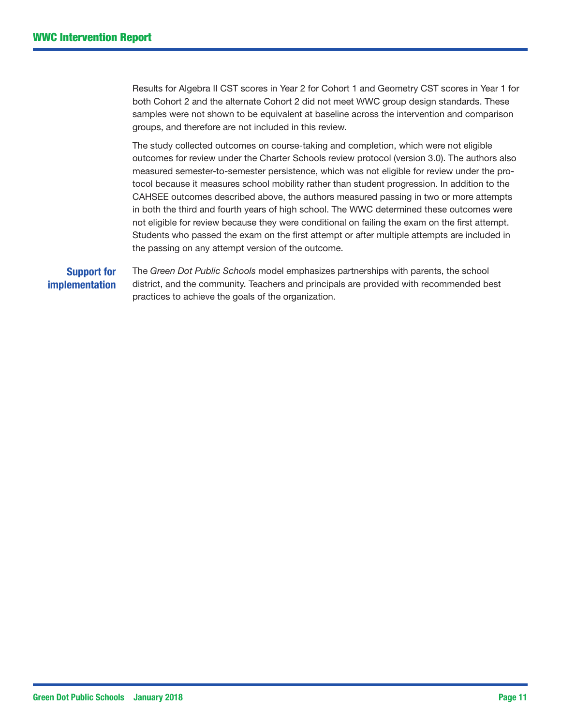Results for Algebra II CST scores in Year 2 for Cohort 1 and Geometry CST scores in Year 1 for both Cohort 2 and the alternate Cohort 2 did not meet WWC group design standards. These samples were not shown to be equivalent at baseline across the intervention and comparison groups, and therefore are not included in this review.

The study collected outcomes on course-taking and completion, which were not eligible outcomes for review under the Charter Schools review protocol (version 3.0). The authors also measured semester-to-semester persistence, which was not eligible for review under the protocol because it measures school mobility rather than student progression. In addition to the CAHSEE outcomes described above, the authors measured passing in two or more attempts in both the third and fourth years of high school. The WWC determined these outcomes were not eligible for review because they were conditional on failing the exam on the first attempt. Students who passed the exam on the first attempt or after multiple attempts are included in the passing on any attempt version of the outcome.

#### Support for implementation

The *Green Dot Public Schools* model emphasizes partnerships with parents, the school district, and the community. Teachers and principals are provided with recommended best practices to achieve the goals of the organization.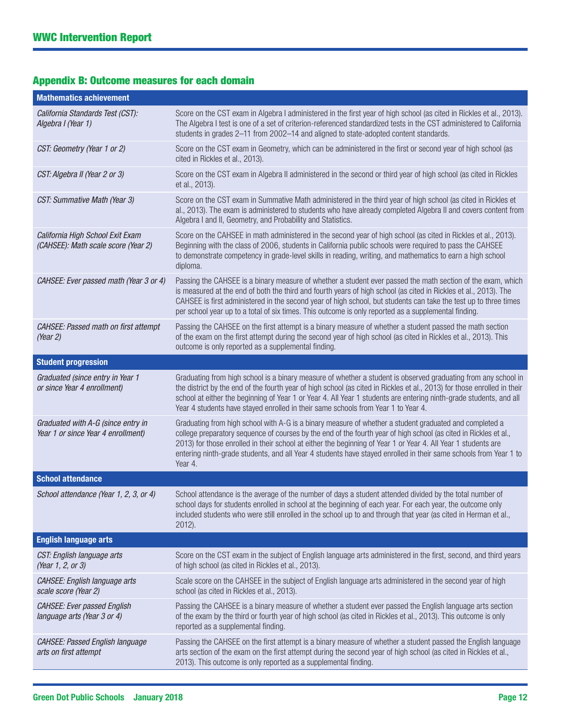## Appendix B: Outcome measures for each domain

| <b>Mathematics achievement</b>                                           |                                                                                                                                                                                                                                                                                                                                                                                                                                                                              |
|--------------------------------------------------------------------------|------------------------------------------------------------------------------------------------------------------------------------------------------------------------------------------------------------------------------------------------------------------------------------------------------------------------------------------------------------------------------------------------------------------------------------------------------------------------------|
| California Standards Test (CST):<br>Algebra I (Year 1)                   | Score on the CST exam in Algebra I administered in the first year of high school (as cited in Rickles et al., 2013).<br>The Algebra I test is one of a set of criterion-referenced standardized tests in the CST administered to California<br>students in grades 2-11 from 2002-14 and aligned to state-adopted content standards.                                                                                                                                          |
| CST: Geometry (Year 1 or 2)                                              | Score on the CST exam in Geometry, which can be administered in the first or second year of high school (as<br>cited in Rickles et al., 2013).                                                                                                                                                                                                                                                                                                                               |
| CST: Algebra II (Year 2 or 3)                                            | Score on the CST exam in Algebra II administered in the second or third year of high school (as cited in Rickles<br>et al., 2013).                                                                                                                                                                                                                                                                                                                                           |
| CST: Summative Math (Year 3)                                             | Score on the CST exam in Summative Math administered in the third year of high school (as cited in Rickles et<br>al., 2013). The exam is administered to students who have already completed Algebra II and covers content from<br>Algebra I and II, Geometry, and Probability and Statistics.                                                                                                                                                                               |
| California High School Exit Exam<br>(CAHSEE): Math scale score (Year 2)  | Score on the CAHSEE in math administered in the second year of high school (as cited in Rickles et al., 2013).<br>Beginning with the class of 2006, students in California public schools were required to pass the CAHSEE<br>to demonstrate competency in grade-level skills in reading, writing, and mathematics to earn a high school<br>diploma.                                                                                                                         |
| CAHSEE: Ever passed math (Year 3 or 4)                                   | Passing the CAHSEE is a binary measure of whether a student ever passed the math section of the exam, which<br>is measured at the end of both the third and fourth years of high school (as cited in Rickles et al., 2013). The<br>CAHSEE is first administered in the second year of high school, but students can take the test up to three times<br>per school year up to a total of six times. This outcome is only reported as a supplemental finding.                  |
| CAHSEE: Passed math on first attempt<br>(Year 2)                         | Passing the CAHSEE on the first attempt is a binary measure of whether a student passed the math section<br>of the exam on the first attempt during the second year of high school (as cited in Rickles et al., 2013). This<br>outcome is only reported as a supplemental finding.                                                                                                                                                                                           |
| <b>Student progression</b>                                               |                                                                                                                                                                                                                                                                                                                                                                                                                                                                              |
| Graduated (since entry in Year 1<br>or since Year 4 enrollment)          | Graduating from high school is a binary measure of whether a student is observed graduating from any school in<br>the district by the end of the fourth year of high school (as cited in Rickles et al., 2013) for those enrolled in their<br>school at either the beginning of Year 1 or Year 4. All Year 1 students are entering ninth-grade students, and all<br>Year 4 students have stayed enrolled in their same schools from Year 1 to Year 4.                        |
| Graduated with A-G (since entry in<br>Year 1 or since Year 4 enrollment) | Graduating from high school with A-G is a binary measure of whether a student graduated and completed a<br>college preparatory sequence of courses by the end of the fourth year of high school (as cited in Rickles et al.,<br>2013) for those enrolled in their school at either the beginning of Year 1 or Year 4. All Year 1 students are<br>entering ninth-grade students, and all Year 4 students have stayed enrolled in their same schools from Year 1 to<br>Year 4. |
| <b>School attendance</b>                                                 |                                                                                                                                                                                                                                                                                                                                                                                                                                                                              |
| School attendance (Year 1, 2, 3, or 4)                                   | School attendance is the average of the number of days a student attended divided by the total number of<br>school days for students enrolled in school at the beginning of each year. For each year, the outcome only<br>included students who were still enrolled in the school up to and through that year (as cited in Herman et al.,<br>$2012$ ).                                                                                                                       |
| <b>English language arts</b>                                             |                                                                                                                                                                                                                                                                                                                                                                                                                                                                              |
| CST: English language arts<br>(Year 1, 2, or 3)                          | Score on the CST exam in the subject of English language arts administered in the first, second, and third years<br>of high school (as cited in Rickles et al., 2013).                                                                                                                                                                                                                                                                                                       |
| CAHSEE: English language arts<br>scale score (Year 2)                    | Scale score on the CAHSEE in the subject of English language arts administered in the second year of high<br>school (as cited in Rickles et al., 2013).                                                                                                                                                                                                                                                                                                                      |
| <b>CAHSEE: Ever passed English</b><br>language arts (Year 3 or 4)        | Passing the CAHSEE is a binary measure of whether a student ever passed the English language arts section<br>of the exam by the third or fourth year of high school (as cited in Rickles et al., 2013). This outcome is only<br>reported as a supplemental finding.                                                                                                                                                                                                          |
| CAHSEE: Passed English language<br>arts on first attempt                 | Passing the CAHSEE on the first attempt is a binary measure of whether a student passed the English language<br>arts section of the exam on the first attempt during the second year of high school (as cited in Rickles et al.,<br>2013). This outcome is only reported as a supplemental finding.                                                                                                                                                                          |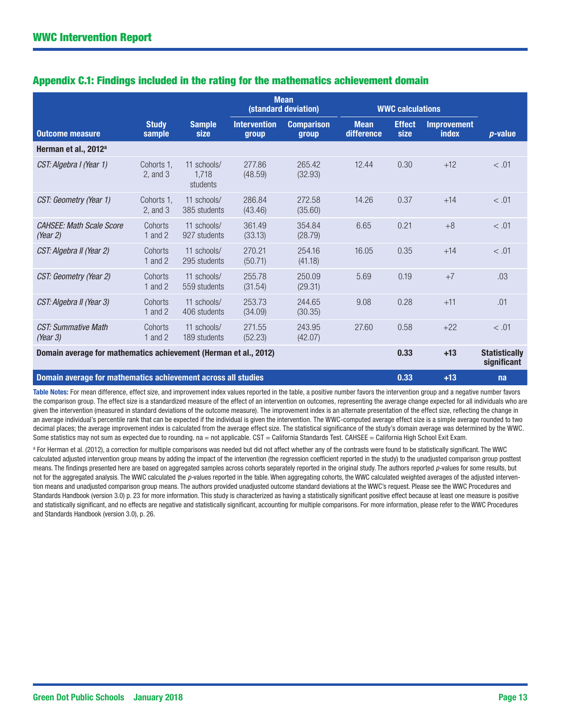|                                                                  |                             |                                  | <b>Mean</b><br>(standard deviation) |                            | <b>WWC calculations</b>   |                       |                                    |                                     |  |
|------------------------------------------------------------------|-----------------------------|----------------------------------|-------------------------------------|----------------------------|---------------------------|-----------------------|------------------------------------|-------------------------------------|--|
| <b>Outcome measure</b>                                           | <b>Study</b><br>sample      | <b>Sample</b><br>size            | <b>Intervention</b><br>group        | <b>Comparison</b><br>group | <b>Mean</b><br>difference | <b>Effect</b><br>size | <b>Improvement</b><br><b>index</b> | $p$ -value                          |  |
| Herman et al., 2012 <sup>a</sup>                                 |                             |                                  |                                     |                            |                           |                       |                                    |                                     |  |
| CST: Algebra I (Year 1)                                          | Cohorts 1.<br>$2$ , and $3$ | 11 schools/<br>1.718<br>students | 277.86<br>(48.59)                   | 265.42<br>(32.93)          | 12.44                     | 0.30                  | $+12$                              | < .01                               |  |
| CST: Geometry (Year 1)                                           | Cohorts 1.<br>$2$ , and $3$ | 11 schools/<br>385 students      | 286.84<br>(43.46)                   | 272.58<br>(35.60)          | 14.26                     | 0.37                  | $+14$                              | < .01                               |  |
| <b>CAHSEE: Math Scale Score</b><br>(Year 2)                      | Cohorts<br>1 and $2$        | 11 schools/<br>927 students      | 361.49<br>(33.13)                   | 354.84<br>(28.79)          | 6.65                      | 0.21                  | $+8$                               | < .01                               |  |
| CST: Algebra II (Year 2)                                         | Cohorts<br>1 and $2$        | 11 schools/<br>295 students      | 270.21<br>(50.71)                   | 254.16<br>(41.18)          | 16.05                     | 0.35                  | $+14$                              | < .01                               |  |
| CST: Geometry (Year 2)                                           | Cohorts<br>1 and $2$        | 11 schools/<br>559 students      | 255.78<br>(31.54)                   | 250.09<br>(29.31)          | 5.69                      | 0.19                  | $+7$                               | .03                                 |  |
| CST: Algebra II (Year 3)                                         | Cohorts<br>1 and $2$        | 11 schools/<br>406 students      | 253.73<br>(34.09)                   | 244.65<br>(30.35)          | 9.08                      | 0.28                  | $+11$                              | .01                                 |  |
| <b>CST: Summative Math</b><br>(Year 3)                           | Cohorts<br>1 and $2$        | 11 schools/<br>189 students      | 271.55<br>(52.23)                   | 243.95<br>(42.07)          | 27.60                     | 0.58                  | $+22$                              | < .01                               |  |
| Domain average for mathematics achievement (Herman et al., 2012) |                             |                                  |                                     |                            |                           | 0.33                  | $+13$                              | <b>Statistically</b><br>significant |  |
| Domain average for mathematics achievement across all studies    |                             |                                  |                                     |                            |                           | 0.33                  | $+13$                              | na                                  |  |

### Appendix C.1: Findings included in the rating for the mathematics achievement domain

Table Notes: For mean difference, effect size, and improvement index values reported in the table, a positive number favors the intervention group and a negative number favors the comparison group. The effect size is a standardized measure of the effect of an intervention on outcomes, representing the average change expected for all individuals who are given the intervention (measured in standard deviations of the outcome measure). The improvement index is an alternate presentation of the effect size, reflecting the change in an average individual's percentile rank that can be expected if the individual is given the intervention. The WWC-computed average effect size is a simple average rounded to two decimal places; the average improvement index is calculated from the average effect size. The statistical significance of the study's domain average was determined by the WWC. Some statistics may not sum as expected due to rounding. na = not applicable. CST = California Standards Test. CAHSEE = California High School Exit Exam.

a For Herman et al. (2012), a correction for multiple comparisons was needed but did not affect whether any of the contrasts were found to be statistically significant. The WWC calculated adjusted intervention group means by adding the impact of the intervention (the regression coefficient reported in the study) to the unadjusted comparison group posttest means. The findings presented here are based on aggregated samples across cohorts separately reported in the original study. The authors reported *p*-values for some results, but not for the aggregated analysis. The WWC calculated the *p*-values reported in the table. When aggregating cohorts, the WWC calculated weighted averages of the adjusted intervention means and unadjusted comparison group means. The authors provided unadjusted outcome standard deviations at the WWC's request. Please see the WWC Procedures and Standards Handbook (version 3.0) p. 23 for more information. This study is characterized as having a statistically significant positive effect because at least one measure is positive and statistically significant, and no effects are negative and statistically significant, accounting for multiple comparisons. For more information, please refer to the WWC Procedures and Standards Handbook (version 3.0), p. 26.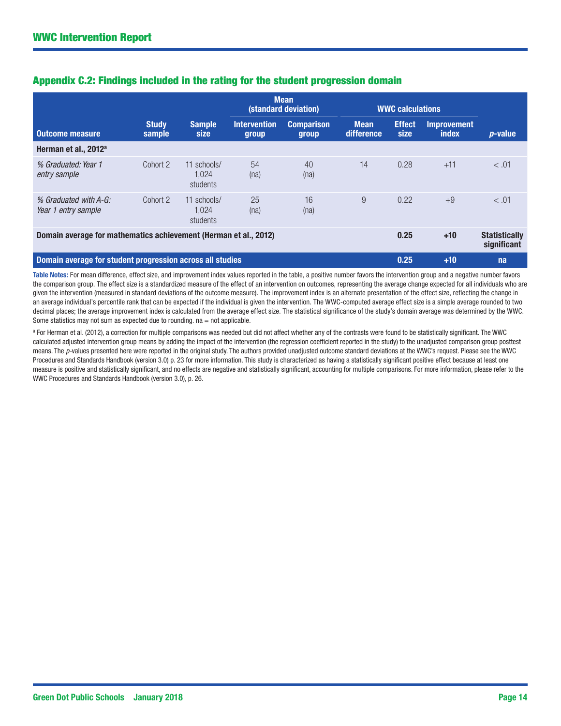|                                                                  |                        |                                  | <b>Mean</b><br>(standard deviation)<br><b>WWC calculations</b> |                            |                           |                       |                             |                                     |
|------------------------------------------------------------------|------------------------|----------------------------------|----------------------------------------------------------------|----------------------------|---------------------------|-----------------------|-----------------------------|-------------------------------------|
| Outcome measure                                                  | <b>Study</b><br>sample | <b>Sample</b><br>size            | <b>Intervention</b><br>group                                   | <b>Comparison</b><br>group | <b>Mean</b><br>difference | <b>Effect</b><br>size | <b>Improvement</b><br>index | $p$ -value                          |
| Herman et al., 2012 <sup>a</sup>                                 |                        |                                  |                                                                |                            |                           |                       |                             |                                     |
| % Graduated: Year 1<br>entry sample                              | Cohort 2               | 11 schools/<br>1.024<br>students | 54<br>(na)                                                     | 40<br>(na)                 | 14                        | 0.28                  | $+11$                       | < .01                               |
| % Graduated with A-G:<br>Year 1 entry sample                     | Cohort 2               | 11 schools/<br>1.024<br>students | 25<br>(na)                                                     | 16<br>(na)                 | 9                         | 0.22                  | $+9$                        | < .01                               |
| Domain average for mathematics achievement (Herman et al., 2012) |                        |                                  |                                                                |                            |                           | 0.25                  | $+10$                       | <b>Statistically</b><br>significant |
| Domain average for student progression across all studies        |                        |                                  |                                                                |                            |                           | 0.25                  | $+10$                       | na                                  |

#### Appendix C.2: Findings included in the rating for the student progression domain

Table Notes: For mean difference, effect size, and improvement index values reported in the table, a positive number favors the intervention group and a negative number favors the comparison group. The effect size is a standardized measure of the effect of an intervention on outcomes, representing the average change expected for all individuals who are given the intervention (measured in standard deviations of the outcome measure). The improvement index is an alternate presentation of the effect size, reflecting the change in an average individual's percentile rank that can be expected if the individual is given the intervention. The WWC-computed average effect size is a simple average rounded to two decimal places; the average improvement index is calculated from the average effect size. The statistical significance of the study's domain average was determined by the WWC. Some statistics may not sum as expected due to rounding.  $na = not$  applicable.

<sup>a</sup> For Herman et al. (2012), a correction for multiple comparisons was needed but did not affect whether any of the contrasts were found to be statistically significant. The WWC calculated adjusted intervention group means by adding the impact of the intervention (the regression coefficient reported in the study) to the unadjusted comparison group posttest means. The *p*-values presented here were reported in the original study. The authors provided unadjusted outcome standard deviations at the WWC's request. Please see the WWC Procedures and Standards Handbook (version 3.0) p. 23 for more information. This study is characterized as having a statistically significant positive effect because at least one measure is positive and statistically significant, and no effects are negative and statistically significant, accounting for multiple comparisons. For more information, please refer to the WWC Procedures and Standards Handbook (version 3.0), p. 26.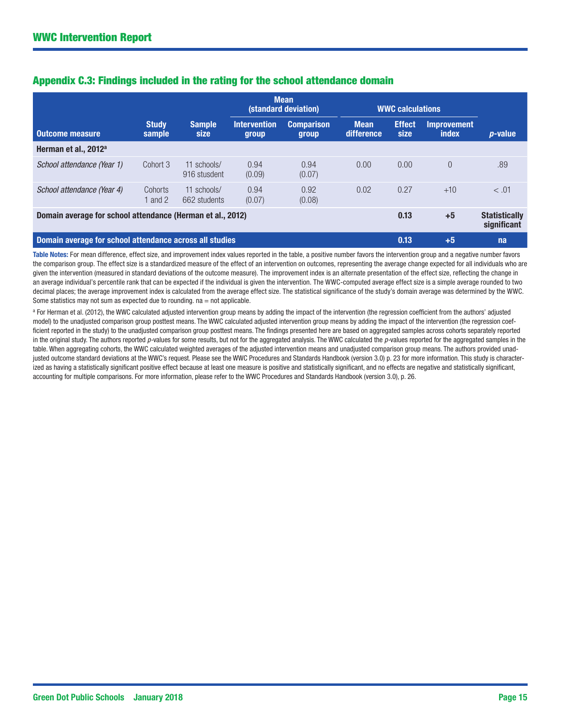|                                                                            |                        |                              | <b>Mean</b><br>(standard deviation) |                            | <b>WWC calculations</b>   |                       |                                     |                 |
|----------------------------------------------------------------------------|------------------------|------------------------------|-------------------------------------|----------------------------|---------------------------|-----------------------|-------------------------------------|-----------------|
| <b>Outcome measure</b>                                                     | <b>Study</b><br>sample | <b>Sample</b><br><b>size</b> | <b>Intervention</b><br>group        | <b>Comparison</b><br>group | <b>Mean</b><br>difference | <b>Effect</b><br>size | <b>Improvement</b><br>index         | <i>p</i> -value |
| Herman et al., 2012 <sup>a</sup>                                           |                        |                              |                                     |                            |                           |                       |                                     |                 |
| School attendance (Year 1)                                                 | Cohort 3               | 11 schools/<br>916 stusdent  | 0.94<br>(0.09)                      | 0.94<br>(0.07)             | 0.00                      | 0.00                  | $\Omega$                            | .89             |
| School attendance (Year 4)                                                 | Cohorts<br>1 and 2     | 11 schools/<br>662 students  | 0.94<br>(0.07)                      | 0.92<br>(0.08)             | 0.02                      | 0.27                  | $+10$                               | < .01           |
| Domain average for school attendance (Herman et al., 2012)<br>0.13<br>$+5$ |                        |                              |                                     |                            |                           |                       | <b>Statistically</b><br>significant |                 |
| Domain average for school attendance across all studies                    |                        |                              |                                     |                            |                           | 0.13                  | $+5$                                | na              |

#### Appendix C.3: Findings included in the rating for the school attendance domain

Table Notes: For mean difference, effect size, and improvement index values reported in the table, a positive number favors the intervention group and a negative number favors the comparison group. The effect size is a standardized measure of the effect of an intervention on outcomes, representing the average change expected for all individuals who are given the intervention (measured in standard deviations of the outcome measure). The improvement index is an alternate presentation of the effect size, reflecting the change in an average individual's percentile rank that can be expected if the individual is given the intervention. The WWC-computed average effect size is a simple average rounded to two decimal places; the average improvement index is calculated from the average effect size. The statistical significance of the study's domain average was determined by the WWC. Some statistics may not sum as expected due to rounding.  $na = not$  applicable.

<sup>a</sup> For Herman et al. (2012), the WWC calculated adjusted intervention group means by adding the impact of the intervention (the regression coefficient from the authors' adjusted model) to the unadjusted comparison group posttest means. The WWC calculated adjusted intervention group means by adding the impact of the intervention (the regression coefficient reported in the study) to the unadjusted comparison group posttest means. The findings presented here are based on aggregated samples across cohorts separately reported in the original study. The authors reported *p-*values for some results, but not for the aggregated analysis. The WWC calculated the *p-*values reported for the aggregated samples in the table. When aggregating cohorts, the WWC calculated weighted averages of the adjusted intervention means and unadjusted comparison group means. The authors provided unadjusted outcome standard deviations at the WWC's request. Please see the WWC Procedures and Standards Handbook (version 3.0) p. 23 for more information. This study is characterized as having a statistically significant positive effect because at least one measure is positive and statistically significant, and no effects are negative and statistically significant, accounting for multiple comparisons. For more information, please refer to the WWC Procedures and Standards Handbook (version 3.0), p. 26.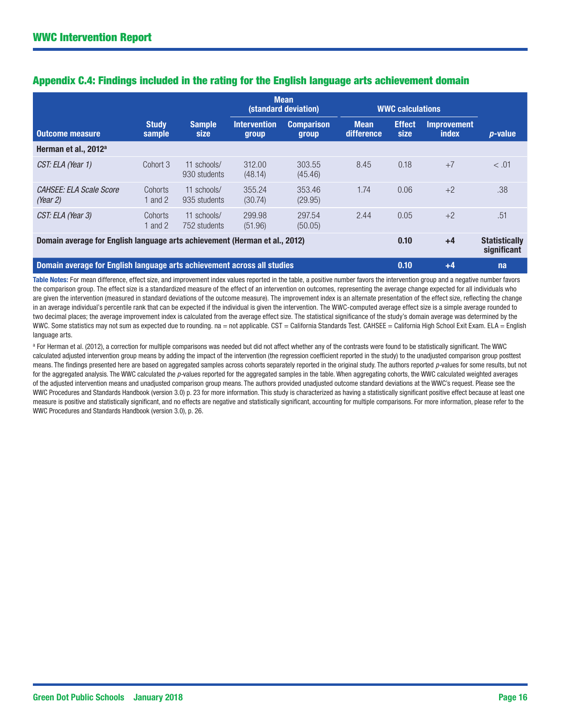|                                                                            |                        |                             |                              | <b>Mean</b><br>(standard deviation) |                           | <b>WWC calculations</b> |                                     |            |
|----------------------------------------------------------------------------|------------------------|-----------------------------|------------------------------|-------------------------------------|---------------------------|-------------------------|-------------------------------------|------------|
| <b>Outcome measure</b>                                                     | <b>Study</b><br>sample | <b>Sample</b><br>size       | <b>Intervention</b><br>group | <b>Comparison</b><br><b>group</b>   | <b>Mean</b><br>difference | <b>Effect</b><br>size   | <b>Improvement</b><br>index         | $p$ -value |
| Herman et al., 2012 <sup>a</sup>                                           |                        |                             |                              |                                     |                           |                         |                                     |            |
| CST: ELA (Year 1)                                                          | Cohort 3               | 11 schools/<br>930 students | 312.00<br>(48.14)            | 303.55<br>(45.46)                   | 8.45                      | 0.18                    | $+7$                                | < .01      |
| CAHSEE: ELA Scale Score<br>(Year 2)                                        | Cohorts<br>1 and $2$   | 11 schools/<br>935 students | 355.24<br>(30.74)            | 353.46<br>(29.95)                   | 1.74                      | 0.06                    | $+2$                                | .38        |
| CST: ELA (Year 3)                                                          | Cohorts<br>1 and $2$   | 11 schools/<br>752 students | 299.98<br>(51.96)            | 297.54<br>(50.05)                   | 2.44                      | 0.05                    | $+2$                                | .51        |
| Domain average for English language arts achievement (Herman et al., 2012) |                        |                             |                              |                                     | 0.10                      | $+4$                    | <b>Statistically</b><br>significant |            |
| Domain average for English language arts achievement across all studies    |                        |                             |                              |                                     |                           | 0.10                    | $+4$                                | na         |

#### Appendix C.4: Findings included in the rating for the English language arts achievement domain

Table Notes: For mean difference, effect size, and improvement index values reported in the table, a positive number favors the intervention group and a negative number favors the comparison group. The effect size is a standardized measure of the effect of an intervention on outcomes, representing the average change expected for all individuals who are given the intervention (measured in standard deviations of the outcome measure). The improvement index is an alternate presentation of the effect size, reflecting the change in an average individual's percentile rank that can be expected if the individual is given the intervention. The WWC-computed average effect size is a simple average rounded to two decimal places; the average improvement index is calculated from the average effect size. The statistical significance of the study's domain average was determined by the WWC. Some statistics may not sum as expected due to rounding. na = not applicable. CST = California Standards Test. CAHSEE = California High School Exit Exam. ELA = English language arts.

<sup>a</sup> For Herman et al. (2012), a correction for multiple comparisons was needed but did not affect whether any of the contrasts were found to be statistically significant. The WWC calculated adjusted intervention group means by adding the impact of the intervention (the regression coefficient reported in the study) to the unadjusted comparison group posttest means. The findings presented here are based on aggregated samples across cohorts separately reported in the original study. The authors reported *p*-values for some results, but not for the aggregated analysis. The WWC calculated the p-values reported for the aggregated samples in the table. When aggregating cohorts, the WWC calculated weighted averages of the adjusted intervention means and unadjusted comparison group means. The authors provided unadjusted outcome standard deviations at the WWC's request. Please see the WWC Procedures and Standards Handbook (version 3.0) p. 23 for more information. This study is characterized as having a statistically significant positive effect because at least one measure is positive and statistically significant, and no effects are negative and statistically significant, accounting for multiple comparisons. For more information, please refer to the WWC Procedures and Standards Handbook (version 3.0), p. 26.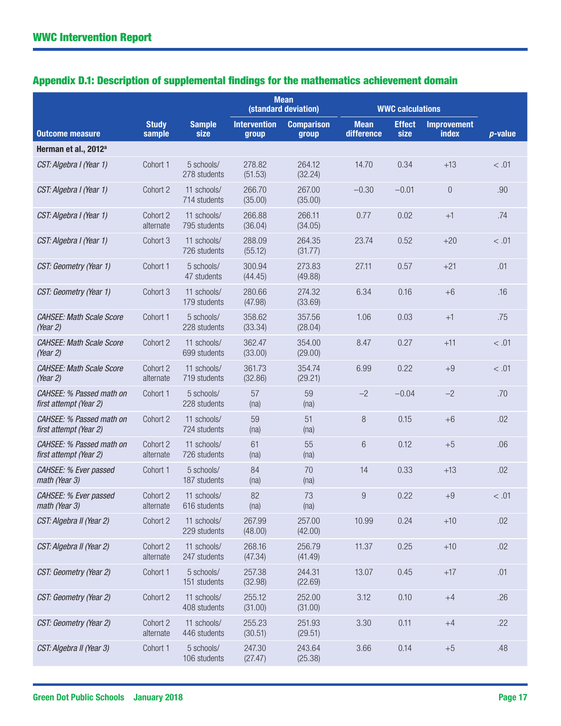| Appendix D.1: Description of supplemental findings for the mathematics achievement domain |  |  |  |  |
|-------------------------------------------------------------------------------------------|--|--|--|--|
|-------------------------------------------------------------------------------------------|--|--|--|--|

|                                                    |                        |                             |                              | <b>Mean</b><br>(standard deviation) |                           | <b>WWC calculations</b> |                                    |            |
|----------------------------------------------------|------------------------|-----------------------------|------------------------------|-------------------------------------|---------------------------|-------------------------|------------------------------------|------------|
| <b>Outcome measure</b>                             | <b>Study</b><br>sample | <b>Sample</b><br>size       | <b>Intervention</b><br>group | <b>Comparison</b><br>group          | <b>Mean</b><br>difference | <b>Effect</b><br>size   | <b>Improvement</b><br><b>index</b> | $p$ -value |
| Herman et al., 2012 <sup>a</sup>                   |                        |                             |                              |                                     |                           |                         |                                    |            |
| CST: Algebra I (Year 1)                            | Cohort 1               | 5 schools/<br>278 students  | 278.82<br>(51.53)            | 264.12<br>(32.24)                   | 14.70                     | 0.34                    | $+13$                              | < .01      |
| CST: Algebra I (Year 1)                            | Cohort 2               | 11 schools/<br>714 students | 266.70<br>(35.00)            | 267.00<br>(35.00)                   | $-0.30$                   | $-0.01$                 | $\boldsymbol{0}$                   | .90        |
| CST: Algebra I (Year 1)                            | Cohort 2<br>alternate  | 11 schools/<br>795 students | 266.88<br>(36.04)            | 266.11<br>(34.05)                   | 0.77                      | 0.02                    | $+1$                               | .74        |
| CST: Algebra I (Year 1)                            | Cohort 3               | 11 schools/<br>726 students | 288.09<br>(55.12)            | 264.35<br>(31.77)                   | 23.74                     | 0.52                    | $+20$                              | < .01      |
| CST: Geometry (Year 1)                             | Cohort 1               | 5 schools/<br>47 students   | 300.94<br>(44.45)            | 273.83<br>(49.88)                   | 27.11                     | 0.57                    | $+21$                              | .01        |
| CST: Geometry (Year 1)                             | Cohort 3               | 11 schools/<br>179 students | 280.66<br>(47.98)            | 274.32<br>(33.69)                   | 6.34                      | 0.16                    | $+6$                               | .16        |
| <b>CAHSEE: Math Scale Score</b><br>(Year 2)        | Cohort 1               | 5 schools/<br>228 students  | 358.62<br>(33.34)            | 357.56<br>(28.04)                   | 1.06                      | 0.03                    | $+1$                               | .75        |
| <b>CAHSEE: Math Scale Score</b><br>(Year $2$ )     | Cohort 2               | 11 schools/<br>699 students | 362.47<br>(33.00)            | 354.00<br>(29.00)                   | 8.47                      | 0.27                    | $+11$                              | < .01      |
| <b>CAHSEE: Math Scale Score</b><br>(Year 2)        | Cohort 2<br>alternate  | 11 schools/<br>719 students | 361.73<br>(32.86)            | 354.74<br>(29.21)                   | 6.99                      | 0.22                    | $+9$                               | < .01      |
| CAHSEE: % Passed math on<br>first attempt (Year 2) | Cohort 1               | 5 schools/<br>228 students  | 57<br>(na)                   | 59<br>(na)                          | $-2$                      | $-0.04$                 | $-2$                               | .70        |
| CAHSEE: % Passed math on<br>first attempt (Year 2) | Cohort 2               | 11 schools/<br>724 students | 59<br>(na)                   | 51<br>(na)                          | 8                         | 0.15                    | $+6$                               | .02        |
| CAHSEE: % Passed math on<br>first attempt (Year 2) | Cohort 2<br>alternate  | 11 schools/<br>726 students | 61<br>(na)                   | 55<br>(na)                          | 6                         | 0.12                    | $+5$                               | .06        |
| CAHSEE: % Ever passed<br>math (Year 3)             | Cohort 1               | 5 schools/<br>187 students  | 84<br>(na)                   | 70<br>(na)                          | 14                        | 0.33                    | $+13$                              | .02        |
| CAHSEE: % Ever passed<br>math (Year 3)             | Cohort 2<br>alternate  | 11 schools/<br>616 students | 82<br>(na)                   | 73<br>(na)                          | 9                         | 0.22                    | $+9$                               | < .01      |
| CST: Algebra II (Year 2)                           | Cohort 2               | 11 schools/<br>229 students | 267.99<br>(48.00)            | 257.00<br>(42.00)                   | 10.99                     | 0.24                    | $+10$                              | .02        |
| CST: Algebra II (Year 2)                           | Cohort 2<br>alternate  | 11 schools/<br>247 students | 268.16<br>(47.34)            | 256.79<br>(41.49)                   | 11.37                     | 0.25                    | $+10$                              | .02        |
| CST: Geometry (Year 2)                             | Cohort 1               | 5 schools/<br>151 students  | 257.38<br>(32.98)            | 244.31<br>(22.69)                   | 13.07                     | 0.45                    | $+17$                              | .01        |
| CST: Geometry (Year 2)                             | Cohort 2               | 11 schools/<br>408 students | 255.12<br>(31.00)            | 252.00<br>(31.00)                   | 3.12                      | 0.10                    | $+4$                               | .26        |
| CST: Geometry (Year 2)                             | Cohort 2<br>alternate  | 11 schools/<br>446 students | 255.23<br>(30.51)            | 251.93<br>(29.51)                   | 3.30                      | 0.11                    | $+4$                               | .22        |
| CST: Algebra II (Year 3)                           | Cohort 1               | 5 schools/<br>106 students  | 247.30<br>(27.47)            | 243.64<br>(25.38)                   | 3.66                      | 0.14                    | $+5$                               | .48        |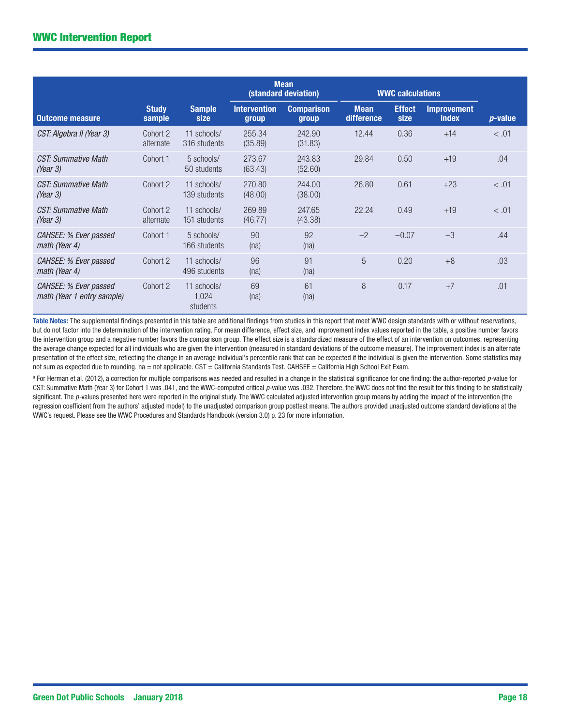|                                                     |                        |                                  |                              | <b>Mean</b><br>(standard deviation) |                           | <b>WWC calculations</b> |                                    |                 |
|-----------------------------------------------------|------------------------|----------------------------------|------------------------------|-------------------------------------|---------------------------|-------------------------|------------------------------------|-----------------|
| <b>Outcome measure</b>                              | <b>Study</b><br>sample | <b>Sample</b><br>size            | <b>Intervention</b><br>group | <b>Comparison</b><br>group          | <b>Mean</b><br>difference | <b>Effect</b><br>size   | <b>Improvement</b><br><b>index</b> | <i>p</i> -value |
| CST: Algebra II (Year 3)                            | Cohort 2<br>alternate  | 11 schools/<br>316 students      | 255.34<br>(35.89)            | 242.90<br>(31.83)                   | 12.44                     | 0.36                    | $+14$                              | < 0.01          |
| <b>CST: Summative Math</b><br>(Year $3$ )           | Cohort 1               | 5 schools/<br>50 students        | 273.67<br>(63.43)            | 243.83<br>(52.60)                   | 29.84                     | 0.50                    | $+19$                              | .04             |
| CST: Summative Math<br>(Year $3$ )                  | Cohort 2               | 11 schools/<br>139 students      | 270.80<br>(48.00)            | 244.00<br>(38.00)                   | 26.80                     | 0.61                    | $+23$                              | < .01           |
| CST: Summative Math<br>(Year $3$ )                  | Cohort 2<br>alternate  | 11 schools/<br>151 students      | 269.89<br>(46.77)            | 247.65<br>(43.38)                   | 22.24                     | 0.49                    | $+19$                              | < 0.01          |
| CAHSEE: % Ever passed<br>math (Year 4)              | Cohort 1               | 5 schools/<br>166 students       | 90<br>(na)                   | 92<br>(na)                          | $-2$                      | $-0.07$                 | $-3$                               | .44             |
| CAHSEE: % Ever passed<br>math (Year 4)              | Cohort 2               | 11 schools/<br>496 students      | 96<br>(na)                   | 91<br>(na)                          | 5                         | 0.20                    | $+8$                               | .03             |
| CAHSEE: % Ever passed<br>math (Year 1 entry sample) | Cohort 2               | 11 schools/<br>1,024<br>students | 69<br>(na)                   | 61<br>(na)                          | 8                         | 0.17                    | $+7$                               | .01             |

Table Notes: The supplemental findings presented in this table are additional findings from studies in this report that meet WWC design standards with or without reservations, but do not factor into the determination of the intervention rating. For mean difference, effect size, and improvement index values reported in the table, a positive number favors the intervention group and a negative number favors the comparison group. The effect size is a standardized measure of the effect of an intervention on outcomes, representing the average change expected for all individuals who are given the intervention (measured in standard deviations of the outcome measure). The improvement index is an alternate presentation of the effect size, reflecting the change in an average individual's percentile rank that can be expected if the individual is given the intervention. Some statistics may not sum as expected due to rounding. na = not applicable. CST = California Standards Test. CAHSEE = California High School Exit Exam.

a For Herman et al. (2012), a correction for multiple comparisons was needed and resulted in a change in the statistical significance for one finding: the author-reported *p-*value for CST: Summative Math (Year 3) for Cohort 1 was .041, and the WWC-computed critical *p-*value was .032. Therefore, the WWC does not find the result for this finding to be statistically significant. The *p*-values presented here were reported in the original study. The WWC calculated adjusted intervention group means by adding the impact of the intervention (the regression coefficient from the authors' adjusted model) to the unadjusted comparison group posttest means. The authors provided unadjusted outcome standard deviations at the WWC's request. Please see the WWC Procedures and Standards Handbook (version 3.0) p. 23 for more information.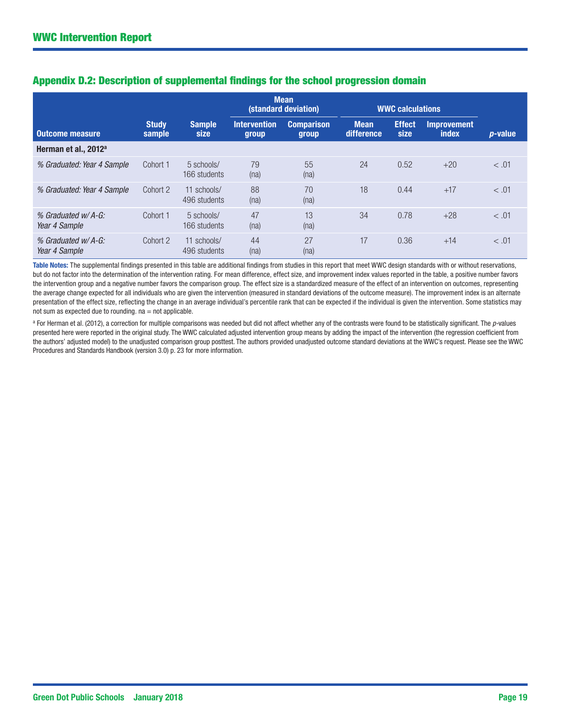|                                     |                        |                             |                              | <b>Mean</b><br>(standard deviation) |                           | <b>WWC calculations</b> |                             |            |
|-------------------------------------|------------------------|-----------------------------|------------------------------|-------------------------------------|---------------------------|-------------------------|-----------------------------|------------|
| <b>Outcome measure</b>              | <b>Study</b><br>sample | <b>Sample</b><br>size       | <b>Intervention</b><br>group | <b>Comparison</b><br><b>group</b>   | <b>Mean</b><br>difference | <b>Effect</b><br>size   | <b>Improvement</b><br>index | $p$ -value |
| Herman et al., 2012 <sup>a</sup>    |                        |                             |                              |                                     |                           |                         |                             |            |
| % Graduated: Year 4 Sample          | Cohort 1               | 5 schools/<br>166 students  | 79<br>(na)                   | 55<br>(na)                          | 24                        | 0.52                    | $+20$                       | < .01      |
| % Graduated: Year 4 Sample          | Cohort 2               | 11 schools/<br>496 students | 88<br>(na)                   | 70<br>(na)                          | 18                        | 0.44                    | $+17$                       | < .01      |
| % Graduated w/A-G:<br>Year 4 Sample | Cohort 1               | 5 schools/<br>166 students  | 47<br>(na)                   | 13<br>(na)                          | 34                        | 0.78                    | $+28$                       | < 0.01     |
| % Graduated w/A-G:<br>Year 4 Sample | Cohort 2               | 11 schools/<br>496 students | 44<br>(na)                   | 27<br>(na)                          | 17                        | 0.36                    | $+14$                       | < .01      |

#### Appendix D.2: Description of supplemental findings for the school progression domain

Table Notes: The supplemental findings presented in this table are additional findings from studies in this report that meet WWC design standards with or without reservations, but do not factor into the determination of the intervention rating. For mean difference, effect size, and improvement index values reported in the table, a positive number favors the intervention group and a negative number favors the comparison group. The effect size is a standardized measure of the effect of an intervention on outcomes, representing the average change expected for all individuals who are given the intervention (measured in standard deviations of the outcome measure). The improvement index is an alternate presentation of the effect size, reflecting the change in an average individual's percentile rank that can be expected if the individual is given the intervention. Some statistics may not sum as expected due to rounding.  $na = not$  applicable.

<sup>a</sup> For Herman et al. (2012), a correction for multiple comparisons was needed but did not affect whether any of the contrasts were found to be statistically significant. The *p*-values presented here were reported in the original study. The WWC calculated adjusted intervention group means by adding the impact of the intervention (the regression coefficient from the authors' adjusted model) to the unadjusted comparison group posttest. The authors provided unadjusted outcome standard deviations at the WWC's request. Please see the WWC Procedures and Standards Handbook (version 3.0) p. 23 for more information.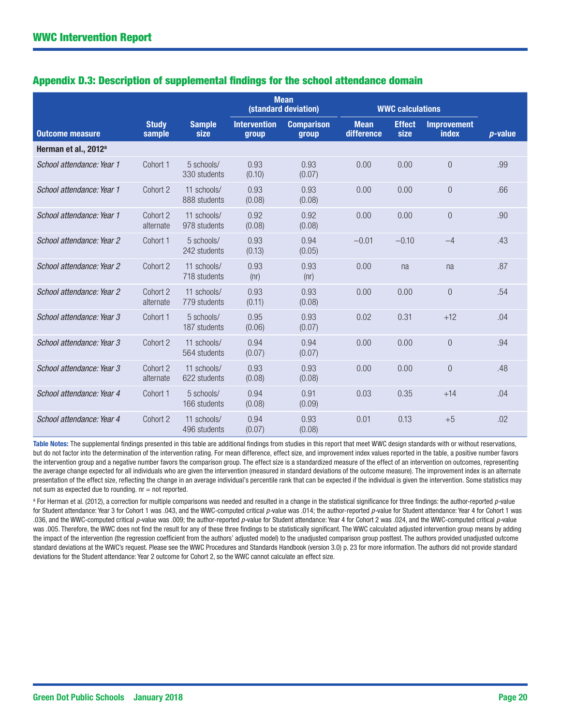|                                  |                        |                             |                              | <b>Mean</b><br>(standard deviation) |                           | <b>WWC calculations</b> |                                    |            |
|----------------------------------|------------------------|-----------------------------|------------------------------|-------------------------------------|---------------------------|-------------------------|------------------------------------|------------|
| <b>Outcome measure</b>           | <b>Study</b><br>sample | <b>Sample</b><br>size       | <b>Intervention</b><br>group | <b>Comparison</b><br>group          | <b>Mean</b><br>difference | <b>Effect</b><br>size   | <b>Improvement</b><br><b>index</b> | $p$ -value |
| Herman et al., 2012 <sup>a</sup> |                        |                             |                              |                                     |                           |                         |                                    |            |
| School attendance: Year 1        | Cohort 1               | 5 schools/<br>330 students  | 0.93<br>(0.10)               | 0.93<br>(0.07)                      | 0.00                      | 0.00                    | $\overline{0}$                     | .99        |
| School attendance: Year 1        | Cohort 2               | 11 schools/<br>888 students | 0.93<br>(0.08)               | 0.93<br>(0.08)                      | 0.00                      | 0.00                    | $\overline{0}$                     | .66        |
| School attendance: Year 1        | Cohort 2<br>alternate  | 11 schools/<br>978 students | 0.92<br>(0.08)               | 0.92<br>(0.08)                      | 0.00                      | 0.00                    | $\overline{0}$                     | .90        |
| School attendance: Year 2        | Cohort 1               | 5 schools/<br>242 students  | 0.93<br>(0.13)               | 0.94<br>(0.05)                      | $-0.01$                   | $-0.10$                 | $-4$                               | .43        |
| School attendance: Year 2        | Cohort 2               | 11 schools/<br>718 students | 0.93<br>(nr)                 | 0.93<br>(nr)                        | 0.00                      | na                      | na                                 | .87        |
| School attendance: Year 2        | Cohort 2<br>alternate  | 11 schools/<br>779 students | 0.93<br>(0.11)               | 0.93<br>(0.08)                      | 0.00                      | 0.00                    | $\overline{0}$                     | .54        |
| School attendance: Year 3        | Cohort 1               | 5 schools/<br>187 students  | 0.95<br>(0.06)               | 0.93<br>(0.07)                      | 0.02                      | 0.31                    | $+12$                              | .04        |
| School attendance: Year 3        | Cohort 2               | 11 schools/<br>564 students | 0.94<br>(0.07)               | 0.94<br>(0.07)                      | 0.00                      | 0.00                    | $\overline{0}$                     | .94        |
| School attendance: Year 3        | Cohort 2<br>alternate  | 11 schools/<br>622 students | 0.93<br>(0.08)               | 0.93<br>(0.08)                      | 0.00                      | 0.00                    | $\overline{0}$                     | .48        |
| School attendance: Year 4        | Cohort 1               | 5 schools/<br>166 students  | 0.94<br>(0.08)               | 0.91<br>(0.09)                      | 0.03                      | 0.35                    | $+14$                              | .04        |
| School attendance: Year 4        | Cohort 2               | 11 schools/<br>496 students | 0.94<br>(0.07)               | 0.93<br>(0.08)                      | 0.01                      | 0.13                    | $+5$                               | .02        |

#### Appendix D.3: Description of supplemental findings for the school attendance domain

Table Notes: The supplemental findings presented in this table are additional findings from studies in this report that meet WWC design standards with or without reservations, but do not factor into the determination of the intervention rating. For mean difference, effect size, and improvement index values reported in the table, a positive number favors the intervention group and a negative number favors the comparison group. The effect size is a standardized measure of the effect of an intervention on outcomes, representing the average change expected for all individuals who are given the intervention (measured in standard deviations of the outcome measure). The improvement index is an alternate presentation of the effect size, reflecting the change in an average individual's percentile rank that can be expected if the individual is given the intervention. Some statistics may not sum as expected due to rounding. nr = not reported.

a For Herman et al. (2012), a correction for multiple comparisons was needed and resulted in a change in the statistical significance for three findings: the author-reported *p-*value for Student attendance: Year 3 for Cohort 1 was .043, and the WWC-computed critical *p-*value was .014; the author-reported *p-*value for Student attendance: Year 4 for Cohort 1 was .036, and the WWC-computed critical *p-*value was .009; the author-reported *p-*value for Student attendance: Year 4 for Cohort 2 was .024, and the WWC-computed critical *p-*value was .005. Therefore, the WWC does not find the result for any of these three findings to be statistically significant. The WWC calculated adjusted intervention group means by adding the impact of the intervention (the regression coefficient from the authors' adjusted model) to the unadjusted comparison group posttest. The authors provided unadjusted outcome standard deviations at the WWC's request. Please see the WWC Procedures and Standards Handbook (version 3.0) p. 23 for more information. The authors did not provide standard deviations for the Student attendance: Year 2 outcome for Cohort 2, so the WWC cannot calculate an effect size.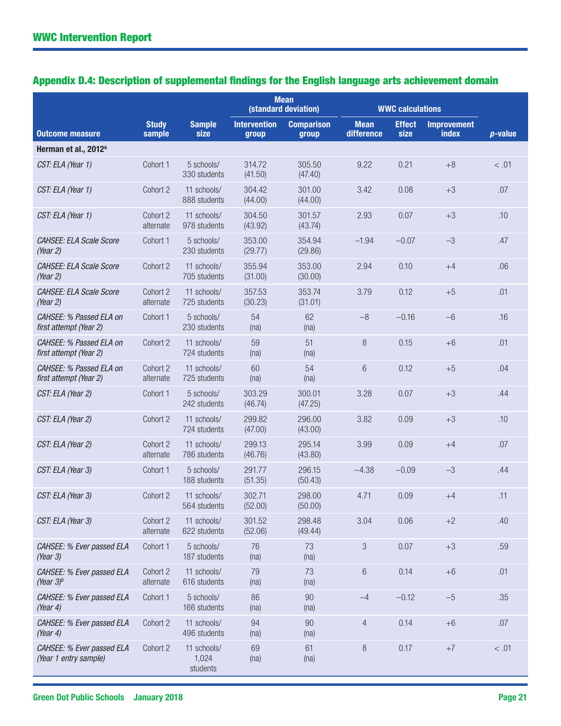## Appendix D.4: Description of supplemental findings for the English language arts achievement domain

|                                                     |                        |                                  |                              | <b>Mean</b><br>(standard deviation) |                           | <b>WWC calculations</b> |                                    |            |
|-----------------------------------------------------|------------------------|----------------------------------|------------------------------|-------------------------------------|---------------------------|-------------------------|------------------------------------|------------|
| <b>Outcome measure</b>                              | <b>Study</b><br>sample | <b>Sample</b><br>size            | <b>Intervention</b><br>group | <b>Comparison</b><br>group          | <b>Mean</b><br>difference | <b>Effect</b><br>size   | <b>Improvement</b><br><b>index</b> | $p$ -value |
| Herman et al., 2012 <sup>a</sup>                    |                        |                                  |                              |                                     |                           |                         |                                    |            |
| CST: ELA (Year 1)                                   | Cohort 1               | 5 schools/<br>330 students       | 314.72<br>(41.50)            | 305.50<br>(47.40)                   | 9.22                      | 0.21                    | $+8$                               | < .01      |
| CST: ELA (Year 1)                                   | Cohort 2               | 11 schools/<br>888 students      | 304.42<br>(44.00)            | 301.00<br>(44.00)                   | 3.42                      | 0.08                    | $+3$                               | .07        |
| CST: ELA (Year 1)                                   | Cohort 2<br>alternate  | 11 schools/<br>978 students      | 304.50<br>(43.92)            | 301.57<br>(43.74)                   | 2.93                      | 0.07                    | $+3$                               | .10        |
| CAHSEE: ELA Scale Score<br>(Year 2)                 | Cohort 1               | 5 schools/<br>230 students       | 353.00<br>(29.77)            | 354.94<br>(29.86)                   | $-1.94$                   | $-0.07$                 | $-3$                               | .47        |
| <b>CAHSEE: ELA Scale Score</b><br>(Year 2)          | Cohort 2               | 11 schools/<br>705 students      | 355.94<br>(31.00)            | 353.00<br>(30.00)                   | 2.94                      | 0.10                    | $+4$                               | .06        |
| <b>CAHSEE: ELA Scale Score</b><br>(Year 2)          | Cohort 2<br>alternate  | 11 schools/<br>725 students      | 357.53<br>(30.23)            | 353.74<br>(31.01)                   | 3.79                      | 0.12                    | $+5$                               | .01        |
| CAHSEE: % Passed ELA on<br>first attempt (Year 2)   | Cohort 1               | 5 schools/<br>230 students       | 54<br>(na)                   | 62<br>(na)                          | $-8$                      | $-0.16$                 | $-6$                               | .16        |
| CAHSEE: % Passed ELA on<br>first attempt (Year 2)   | Cohort 2               | 11 schools/<br>724 students      | 59<br>(na)                   | 51<br>(na)                          | 8                         | 0.15                    | $+6$                               | .01        |
| CAHSEE: % Passed ELA on<br>first attempt (Year 2)   | Cohort 2<br>alternate  | 11 schools/<br>725 students      | 60<br>(na)                   | 54<br>(na)                          | 6                         | 0.12                    | $+5$                               | .04        |
| CST: ELA (Year 2)                                   | Cohort 1               | 5 schools/<br>242 students       | 303.29<br>(46.74)            | 300.01<br>(47.25)                   | 3.28                      | 0.07                    | $+3$                               | .44        |
| CST: ELA (Year 2)                                   | Cohort 2               | 11 schools/<br>724 students      | 299.82<br>(47.00)            | 296.00<br>(43.00)                   | 3.82                      | 0.09                    | $+3$                               | .10        |
| CST: ELA (Year 2)                                   | Cohort 2<br>alternate  | 11 schools/<br>786 students      | 299.13<br>(46.76)            | 295.14<br>(43.80)                   | 3.99                      | 0.09                    | $+4$                               | .07        |
| CST: ELA (Year 3)                                   | Cohort 1               | 5 schools/<br>188 students       | 291.77<br>(51.35)            | 296.15<br>(50.43)                   | $-4.38$                   | $-0.09$                 | $-3$                               | .44        |
| CST: ELA (Year 3)                                   | Cohort 2               | 11 schools/<br>564 students      | 302.71<br>(52.00)            | 298.00<br>(50.00)                   | 4.71                      | 0.09                    | $+4$                               | .11        |
| CST: ELA (Year 3)                                   | Cohort 2<br>alternate  | 11 schools/<br>622 students      | 301.52<br>(52.06)            | 298.48<br>(49.44)                   | 3.04                      | 0.06                    | $+2$                               | .40        |
| CAHSEE: % Ever passed ELA<br>(Year 3)               | Cohort 1               | 5 schools/<br>187 students       | 76<br>(na)                   | 73<br>(na)                          | 3                         | 0.07                    | $+3$                               | .59        |
| CAHSEE: % Ever passed ELA<br>(Year $3$ <sup>b</sup> | Cohort 2<br>alternate  | 11 schools/<br>616 students      | 79<br>(na)                   | 73<br>(na)                          | $6\,$                     | 0.14                    | $+6$                               | .01        |
| CAHSEE: % Ever passed ELA<br>(Year 4)               | Cohort 1               | 5 schools/<br>166 students       | 86<br>(na)                   | 90<br>(na)                          | $-4$                      | $-0.12$                 | $-5$                               | .35        |
| CAHSEE: % Ever passed ELA<br>(Year 4)               | Cohort 2               | 11 schools/<br>496 students      | 94<br>(na)                   | 90<br>(na)                          | 4                         | 0.14                    | $+6$                               | $.07$      |
| CAHSEE: % Ever passed ELA<br>(Year 1 entry sample)  | Cohort 2               | 11 schools/<br>1,024<br>students | 69<br>(na)                   | 61<br>(na)                          | $\,8\,$                   | 0.17                    | $+7$                               | < 0.01     |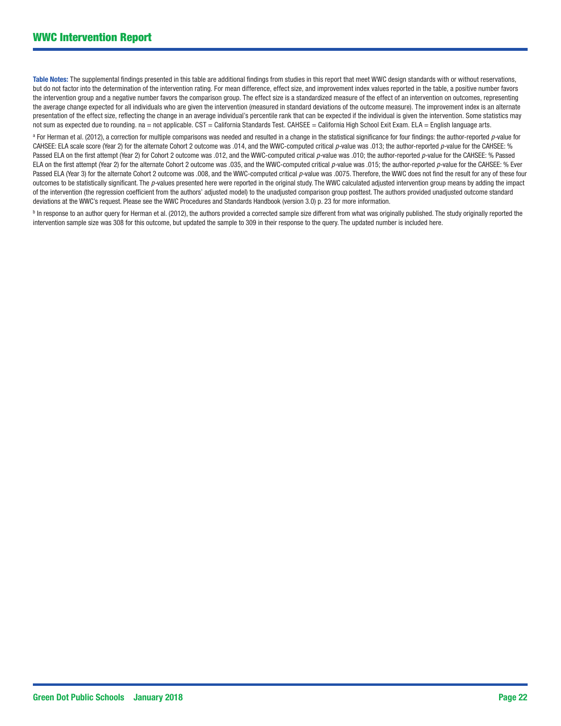Table Notes: The supplemental findings presented in this table are additional findings from studies in this report that meet WWC design standards with or without reservations, but do not factor into the determination of the intervention rating. For mean difference, effect size, and improvement index values reported in the table, a positive number favors the intervention group and a negative number favors the comparison group. The effect size is a standardized measure of the effect of an intervention on outcomes, representing the average change expected for all individuals who are given the intervention (measured in standard deviations of the outcome measure). The improvement index is an alternate presentation of the effect size, reflecting the change in an average individual's percentile rank that can be expected if the individual is given the intervention. Some statistics may not sum as expected due to rounding. na = not applicable. CST = California Standards Test. CAHSEE = California High School Exit Exam. ELA = English language arts.

a For Herman et al. (2012), a correction for multiple comparisons was needed and resulted in a change in the statistical significance for four findings: the author-reported *p-*value for CAHSEE: ELA scale score (Year 2) for the alternate Cohort 2 outcome was .014, and the WWC-computed critical *p-*value was .013; the author-reported *p-*value for the CAHSEE: % Passed ELA on the first attempt (Year 2) for Cohort 2 outcome was .012, and the WWC-computed critical *p*-value was .010; the author-reported *p*-value for the CAHSEE: % Passed ELA on the first attempt (Year 2) for the alternate Cohort 2 outcome was .035, and the WWC-computed critical *p-*value was .015; the author-reported *p-*value for the CAHSEE: % Ever Passed ELA (Year 3) for the alternate Cohort 2 outcome was .008, and the WWC-computed critical *p*-value was .0075. Therefore, the WWC does not find the result for any of these four outcomes to be statistically significant. The *p-*values presented here were reported in the original study. The WWC calculated adjusted intervention group means by adding the impact of the intervention (the regression coefficient from the authors' adjusted model) to the unadjusted comparison group posttest. The authors provided unadjusted outcome standard deviations at the WWC's request. Please see the WWC Procedures and Standards Handbook (version 3.0) p. 23 for more information.

b In response to an author query for Herman et al. (2012), the authors provided a corrected sample size different from what was originally published. The study originally reported the intervention sample size was 308 for this outcome, but updated the sample to 309 in their response to the query. The updated number is included here.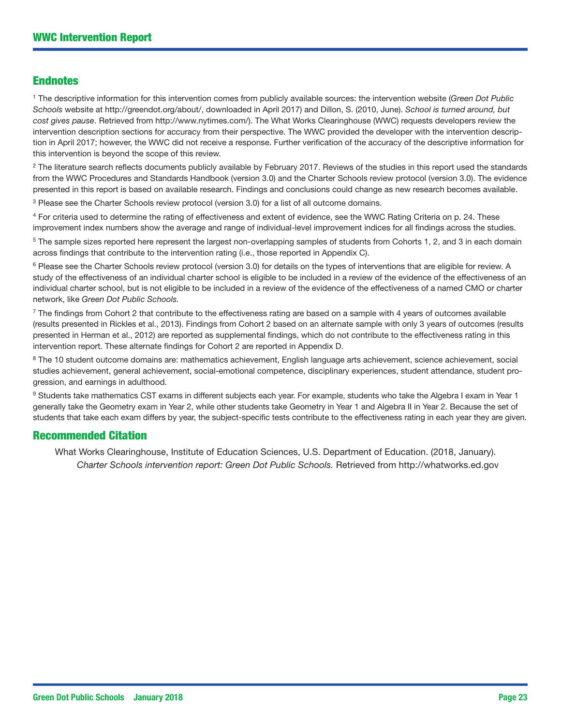#### Endnotes

1 The descriptive information for this intervention comes from publicly available sources: the intervention website (*Green Dot Public Schools* website at [http://greendot.org/about/,](http://greendot.org/about/) downloaded in April 2017) and Dillon, S. (2010, June). *School is turned around, but cost gives pause*. Retrieved from <http://www.nytimes.com/>). The What Works Clearinghouse (WWC) requests developers review the intervention description sections for accuracy from their perspective. The WWC provided the developer with the intervention description in April 2017; however, the WWC did not receive a response. Further verification of the accuracy of the descriptive information for this intervention is beyond the scope of this review.

<sup>2</sup> The literature search reflects documents publicly available by February 2017. Reviews of the studies in this report used the standards from the WWC Procedures and Standards Handbook (version 3.0) and the Charter Schools review protocol (version 3.0). The evidence presented in this report is based on available research. Findings and conclusions could change as new research becomes available.

<sup>3</sup> Please see the Charter Schools review protocol (version 3.0) for a list of all outcome domains.

4 For criteria used to determine the rating of effectiveness and extent of evidence, see the WWC Rating Criteria on p. 24. These improvement index numbers show the average and range of individual-level improvement indices for all findings across the studies.

<sup>5</sup> The sample sizes reported here represent the largest non-overlapping samples of students from Cohorts 1, 2, and 3 in each domain across findings that contribute to the intervention rating (i.e., those reported in Appendix C).

<sup>6</sup> Please see the Charter Schools review protocol (version 3.0) for details on the types of interventions that are eligible for review. A study of the effectiveness of an individual charter school is eligible to be included in a review of the evidence of the effectiveness of an individual charter school, but is not eligible to be included in a review of the evidence of the effectiveness of a named CMO or charter network, like *Green Dot Public Schools.*

 $7$  The findings from Cohort 2 that contribute to the effectiveness rating are based on a sample with 4 years of outcomes available (results presented in Rickles et al., 2013). Findings from Cohort 2 based on an alternate sample with only 3 years of outcomes (results presented in Herman et al., 2012) are reported as supplemental findings, which do not contribute to the effectiveness rating in this intervention report. These alternate findings for Cohort 2 are reported in Appendix D.

<sup>8</sup> The 10 student outcome domains are: mathematics achievement, English language arts achievement, science achievement, social studies achievement, general achievement, social-emotional competence, disciplinary experiences, student attendance, student progression, and earnings in adulthood.

9 Students take mathematics CST exams in different subjects each year. For example, students who take the Algebra I exam in Year 1 generally take the Geometry exam in Year 2, while other students take Geometry in Year 1 and Algebra II in Year 2. Because the set of students that take each exam differs by year, the subject-specific tests contribute to the effectiveness rating in each year they are given.

#### Recommended Citation

What Works Clearinghouse, Institute of Education Sciences, U.S. Department of Education. (2018, January). *Charter Schools intervention report: Green Dot Public Schools.* Retrieved from<http://whatworks.ed.gov>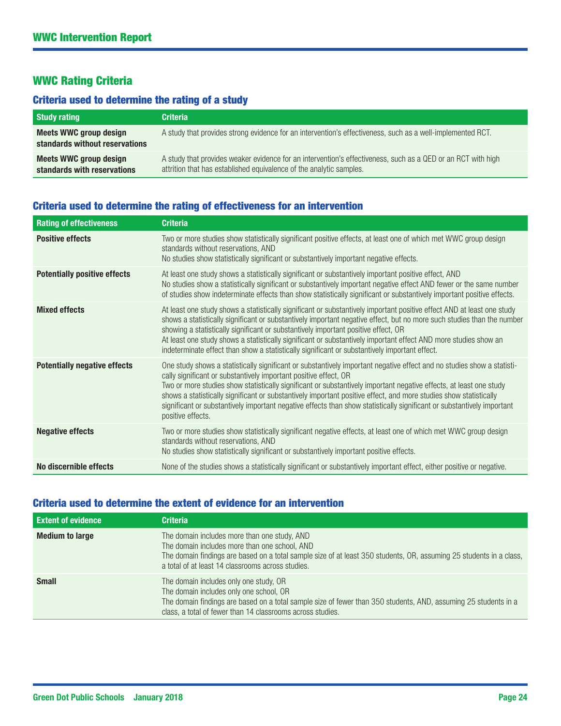#### WWC Rating Criteria

### Criteria used to determine the rating of a study

| <b>Study rating</b>                                      | <b>Criteria</b>                                                                                                                                                                     |
|----------------------------------------------------------|-------------------------------------------------------------------------------------------------------------------------------------------------------------------------------------|
| Meets WWC group design<br>standards without reservations | A study that provides strong evidence for an intervention's effectiveness, such as a well-implemented RCT.                                                                          |
| Meets WWC group design<br>standards with reservations    | A study that provides weaker evidence for an intervention's effectiveness, such as a QED or an RCT with high<br>attrition that has established equivalence of the analytic samples. |

#### Criteria used to determine the rating of effectiveness for an intervention

| <b>Rating of effectiveness</b>      | <b>Criteria</b>                                                                                                                                                                                                                                                                                                                                                                                                                                                                                                                                                                      |
|-------------------------------------|--------------------------------------------------------------------------------------------------------------------------------------------------------------------------------------------------------------------------------------------------------------------------------------------------------------------------------------------------------------------------------------------------------------------------------------------------------------------------------------------------------------------------------------------------------------------------------------|
| <b>Positive effects</b>             | Two or more studies show statistically significant positive effects, at least one of which met WWC group design<br>standards without reservations, AND<br>No studies show statistically significant or substantively important negative effects.                                                                                                                                                                                                                                                                                                                                     |
| <b>Potentially positive effects</b> | At least one study shows a statistically significant or substantively important positive effect, AND<br>No studies show a statistically significant or substantively important negative effect AND fewer or the same number<br>of studies show indeterminate effects than show statistically significant or substantively important positive effects.                                                                                                                                                                                                                                |
| <b>Mixed effects</b>                | At least one study shows a statistically significant or substantively important positive effect AND at least one study<br>shows a statistically significant or substantively important negative effect, but no more such studies than the number<br>showing a statistically significant or substantively important positive effect, OR<br>At least one study shows a statistically significant or substantively important effect AND more studies show an<br>indeterminate effect than show a statistically significant or substantively important effect.                           |
| <b>Potentially negative effects</b> | One study shows a statistically significant or substantively important negative effect and no studies show a statisti-<br>cally significant or substantively important positive effect, OR<br>Two or more studies show statistically significant or substantively important negative effects, at least one study<br>shows a statistically significant or substantively important positive effect, and more studies show statistically<br>significant or substantively important negative effects than show statistically significant or substantively important<br>positive effects. |
| <b>Negative effects</b>             | Two or more studies show statistically significant negative effects, at least one of which met WWC group design<br>standards without reservations, AND<br>No studies show statistically significant or substantively important positive effects.                                                                                                                                                                                                                                                                                                                                     |
| No discernible effects              | None of the studies shows a statistically significant or substantively important effect, either positive or negative.                                                                                                                                                                                                                                                                                                                                                                                                                                                                |

## Criteria used to determine the extent of evidence for an intervention

| <b>Extent of evidence</b> | <b>Criteria</b>                                                                                                                                                                                                                                                           |
|---------------------------|---------------------------------------------------------------------------------------------------------------------------------------------------------------------------------------------------------------------------------------------------------------------------|
| <b>Medium to large</b>    | The domain includes more than one study, AND<br>The domain includes more than one school, AND<br>The domain findings are based on a total sample size of at least 350 students, OR, assuming 25 students in a class,<br>a total of at least 14 classrooms across studies. |
| <b>Small</b>              | The domain includes only one study, OR<br>The domain includes only one school, OR<br>The domain findings are based on a total sample size of fewer than 350 students, AND, assuming 25 students in a<br>class, a total of fewer than 14 classrooms across studies.        |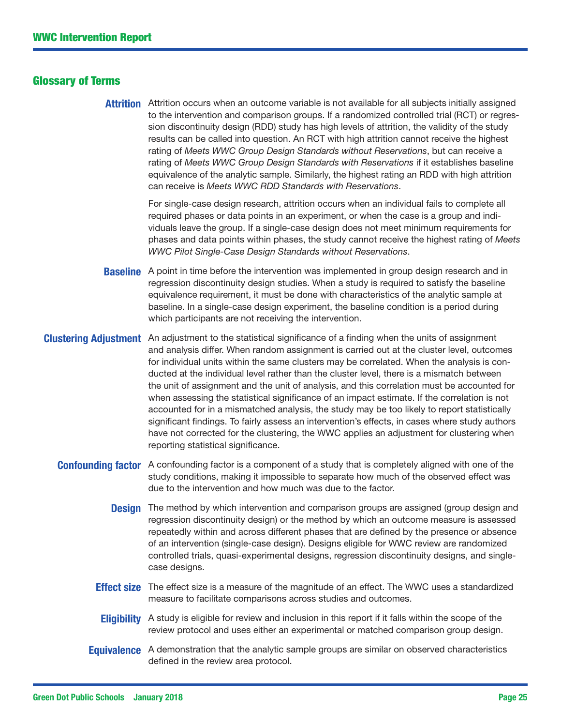#### Glossary of Terms

**Attrition** Attrition occurs when an outcome variable is not available for all subjects initially assigned to the intervention and comparison groups. If a randomized controlled trial (RCT) or regression discontinuity design (RDD) study has high levels of attrition, the validity of the study results can be called into question. An RCT with high attrition cannot receive the highest rating of *Meets WWC Group Design Standards without Reservations*, but can receive a rating of *Meets WWC Group Design Standards with Reservations* if it establishes baseline equivalence of the analytic sample. Similarly, the highest rating an RDD with high attrition can receive is *Meets WWC RDD Standards with Reservations*.

> For single-case design research, attrition occurs when an individual fails to complete all required phases or data points in an experiment, or when the case is a group and individuals leave the group. If a single-case design does not meet minimum requirements for phases and data points within phases, the study cannot receive the highest rating of *Meets WWC Pilot Single-Case Design Standards without Reservations*.

- **Baseline** A point in time before the intervention was implemented in group design research and in regression discontinuity design studies. When a study is required to satisfy the baseline equivalence requirement, it must be done with characteristics of the analytic sample at baseline. In a single-case design experiment, the baseline condition is a period during which participants are not receiving the intervention.
- **Clustering Adjustment** An adjustment to the statistical significance of a finding when the units of assignment and analysis differ. When random assignment is carried out at the cluster level, outcomes for individual units within the same clusters may be correlated. When the analysis is conducted at the individual level rather than the cluster level, there is a mismatch between the unit of assignment and the unit of analysis, and this correlation must be accounted for when assessing the statistical significance of an impact estimate. If the correlation is not accounted for in a mismatched analysis, the study may be too likely to report statistically significant findings. To fairly assess an intervention's effects, in cases where study authors have not corrected for the clustering, the WWC applies an adjustment for clustering when reporting statistical significance.
	- **Confounding factor** A confounding factor is a component of a study that is completely aligned with one of the study conditions, making it impossible to separate how much of the observed effect was due to the intervention and how much was due to the factor.
		- **Design** The method by which intervention and comparison groups are assigned (group design and regression discontinuity design) or the method by which an outcome measure is assessed repeatedly within and across different phases that are defined by the presence or absence of an intervention (single-case design). Designs eligible for WWC review are randomized controlled trials, quasi-experimental designs, regression discontinuity designs, and singlecase designs.
		- **Effect size** The effect size is a measure of the magnitude of an effect. The WWC uses a standardized measure to facilitate comparisons across studies and outcomes.
		- **Eligibility** A study is eligible for review and inclusion in this report if it falls within the scope of the review protocol and uses either an experimental or matched comparison group design.
		- **Equivalence** A demonstration that the analytic sample groups are similar on observed characteristics defined in the review area protocol.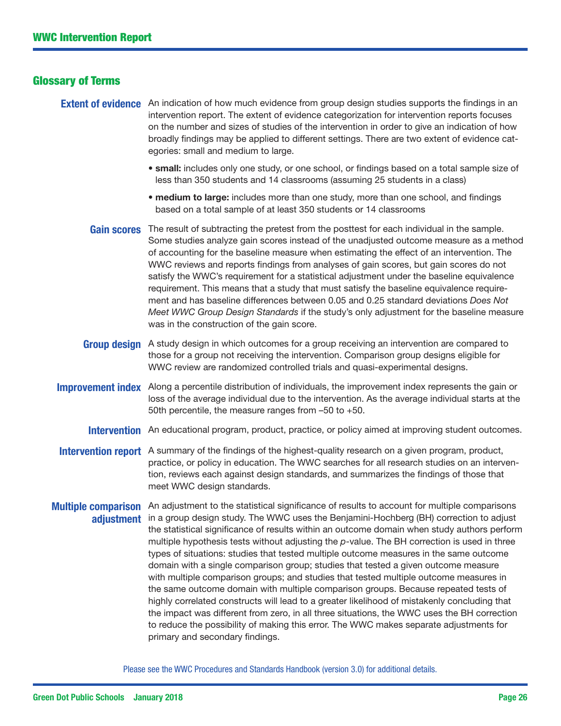#### Glossary of Terms

- **Extent of evidence** An indication of how much evidence from group design studies supports the findings in an intervention report. The extent of evidence categorization for intervention reports focuses on the number and sizes of studies of the intervention in order to give an indication of how broadly findings may be applied to different settings. There are two extent of evidence categories: small and medium to large.
	- small: includes only one study, or one school, or findings based on a total sample size of less than 350 students and 14 classrooms (assuming 25 students in a class)
	- medium to large: includes more than one study, more than one school, and findings based on a total sample of at least 350 students or 14 classrooms
	- Gain scores The result of subtracting the pretest from the posttest for each individual in the sample. Some studies analyze gain scores instead of the unadjusted outcome measure as a method of accounting for the baseline measure when estimating the effect of an intervention. The WWC reviews and reports findings from analyses of gain scores, but gain scores do not satisfy the WWC's requirement for a statistical adjustment under the baseline equivalence requirement. This means that a study that must satisfy the baseline equivalence requirement and has baseline differences between 0.05 and 0.25 standard deviations *Does Not Meet WWC Group Design Standards* if the study's only adjustment for the baseline measure was in the construction of the gain score.
	- **Group design** A study design in which outcomes for a group receiving an intervention are compared to those for a group not receiving the intervention. Comparison group designs eligible for WWC review are randomized controlled trials and quasi-experimental designs.
- **Improvement index** Along a percentile distribution of individuals, the improvement index represents the gain or loss of the average individual due to the intervention. As the average individual starts at the 50th percentile, the measure ranges from –50 to +50.
	- **Intervention** An educational program, product, practice, or policy aimed at improving student outcomes.
- **Intervention report** A summary of the findings of the highest-quality research on a given program, product, practice, or policy in education. The WWC searches for all research studies on an intervention, reviews each against design standards, and summarizes the findings of those that meet WWC design standards.
- Multiple comparison An adjustment to the statistical significance of results to account for multiple comparisons adjustment in a group design study. The WWC uses the Benjamini-Hochberg (BH) correction to adjust the statistical significance of results within an outcome domain when study authors perform multiple hypothesis tests without adjusting the *p*-value. The BH correction is used in three types of situations: studies that tested multiple outcome measures in the same outcome domain with a single comparison group; studies that tested a given outcome measure with multiple comparison groups; and studies that tested multiple outcome measures in the same outcome domain with multiple comparison groups. Because repeated tests of highly correlated constructs will lead to a greater likelihood of mistakenly concluding that the impact was different from zero, in all three situations, the WWC uses the BH correction to reduce the possibility of making this error. The WWC makes separate adjustments for primary and secondary findings.

Please see the [WWC Procedures and Standards Handbook \(version 3.0](https://ies.ed.gov/ncee/wwc/DocumentSum.aspx?sid=19)) for additional details.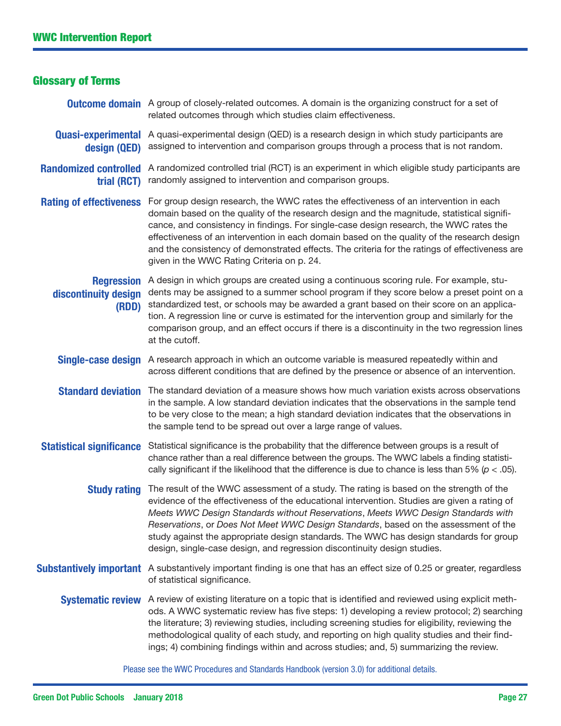| <b>Glossary of Terms</b>                           |                                                                                                                                                                                                                                                                                                                                                                                                                                                                                                                                                       |
|----------------------------------------------------|-------------------------------------------------------------------------------------------------------------------------------------------------------------------------------------------------------------------------------------------------------------------------------------------------------------------------------------------------------------------------------------------------------------------------------------------------------------------------------------------------------------------------------------------------------|
|                                                    | <b>Outcome domain</b> A group of closely-related outcomes. A domain is the organizing construct for a set of<br>related outcomes through which studies claim effectiveness.                                                                                                                                                                                                                                                                                                                                                                           |
| design (QED)                                       | <b>Quasi-experimental</b> A quasi-experimental design (QED) is a research design in which study participants are<br>assigned to intervention and comparison groups through a process that is not random.                                                                                                                                                                                                                                                                                                                                              |
| <b>Randomized controlled</b><br>trial (RCT)        | A randomized controlled trial (RCT) is an experiment in which eligible study participants are<br>randomly assigned to intervention and comparison groups.                                                                                                                                                                                                                                                                                                                                                                                             |
| <b>Rating of effectiveness</b>                     | For group design research, the WWC rates the effectiveness of an intervention in each<br>domain based on the quality of the research design and the magnitude, statistical signifi-<br>cance, and consistency in findings. For single-case design research, the WWC rates the<br>effectiveness of an intervention in each domain based on the quality of the research design<br>and the consistency of demonstrated effects. The criteria for the ratings of effectiveness are<br>given in the WWC Rating Criteria on p. 24.                          |
| <b>Regression</b><br>discontinuity design<br>(RDD) | A design in which groups are created using a continuous scoring rule. For example, stu-<br>dents may be assigned to a summer school program if they score below a preset point on a<br>standardized test, or schools may be awarded a grant based on their score on an applica-<br>tion. A regression line or curve is estimated for the intervention group and similarly for the<br>comparison group, and an effect occurs if there is a discontinuity in the two regression lines<br>at the cutoff.                                                 |
|                                                    | Single-case design A research approach in which an outcome variable is measured repeatedly within and<br>across different conditions that are defined by the presence or absence of an intervention.                                                                                                                                                                                                                                                                                                                                                  |
|                                                    | <b>Standard deviation</b> The standard deviation of a measure shows how much variation exists across observations<br>in the sample. A low standard deviation indicates that the observations in the sample tend<br>to be very close to the mean; a high standard deviation indicates that the observations in<br>the sample tend to be spread out over a large range of values.                                                                                                                                                                       |
|                                                    | Statistical significance Statistical significance is the probability that the difference between groups is a result of<br>chance rather than a real difference between the groups. The WWC labels a finding statisti-<br>cally significant if the likelihood that the difference is due to chance is less than 5% ( $p < .05$ ).                                                                                                                                                                                                                      |
|                                                    | Study rating The result of the WWC assessment of a study. The rating is based on the strength of the<br>evidence of the effectiveness of the educational intervention. Studies are given a rating of<br>Meets WWC Design Standards without Reservations, Meets WWC Design Standards with<br>Reservations, or Does Not Meet WWC Design Standards, based on the assessment of the<br>study against the appropriate design standards. The WWC has design standards for group<br>design, single-case design, and regression discontinuity design studies. |
|                                                    | Substantively important A substantively important finding is one that has an effect size of 0.25 or greater, regardless<br>of statistical significance.                                                                                                                                                                                                                                                                                                                                                                                               |
|                                                    | Systematic review A review of existing literature on a topic that is identified and reviewed using explicit meth-<br>ods. A WWC systematic review has five steps: 1) developing a review protocol; 2) searching<br>the literature; 3) reviewing studies, including screening studies for eligibility, reviewing the<br>methodological quality of each study, and reporting on high quality studies and their find-<br>ings; 4) combining findings within and across studies; and, 5) summarizing the review.                                          |

Please see the [WWC Procedures and Standards Handbook \(version 3.0](https://ies.ed.gov/ncee/wwc/DocumentSum.aspx?sid=19)) for additional details.